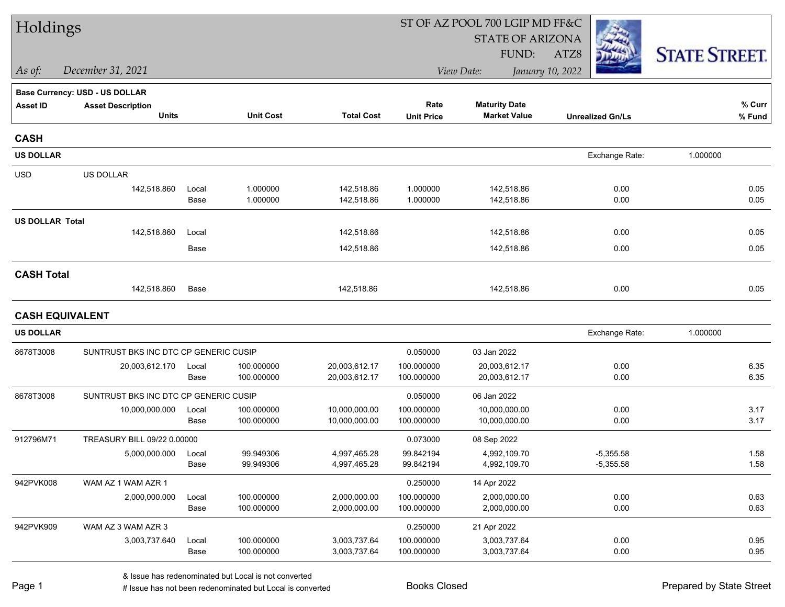| Holdings               |                                       |       |                  |                   |                   | ST OF AZ POOL 700 LGIP MD FF&C |                         |                      |  |
|------------------------|---------------------------------------|-------|------------------|-------------------|-------------------|--------------------------------|-------------------------|----------------------|--|
|                        |                                       |       |                  |                   |                   | <b>STATE OF ARIZONA</b>        |                         |                      |  |
|                        |                                       |       |                  |                   |                   | FUND:                          | ATZ8                    | <b>STATE STREET.</b> |  |
| As of:                 | December 31, 2021                     |       |                  |                   |                   | View Date:                     | January 10, 2022        |                      |  |
|                        | <b>Base Currency: USD - US DOLLAR</b> |       |                  |                   |                   |                                |                         |                      |  |
| <b>Asset ID</b>        | <b>Asset Description</b>              |       |                  |                   | Rate              | <b>Maturity Date</b>           |                         | % Curr               |  |
|                        | <b>Units</b>                          |       | <b>Unit Cost</b> | <b>Total Cost</b> | <b>Unit Price</b> | <b>Market Value</b>            | <b>Unrealized Gn/Ls</b> | % Fund               |  |
| <b>CASH</b>            |                                       |       |                  |                   |                   |                                |                         |                      |  |
| <b>US DOLLAR</b>       |                                       |       |                  |                   |                   |                                | Exchange Rate:          | 1.000000             |  |
| <b>USD</b>             | US DOLLAR                             |       |                  |                   |                   |                                |                         |                      |  |
|                        | 142,518.860                           | Local | 1.000000         | 142,518.86        | 1.000000          | 142,518.86                     | 0.00                    | 0.05                 |  |
|                        |                                       | Base  | 1.000000         | 142,518.86        | 1.000000          | 142,518.86                     | 0.00                    | 0.05                 |  |
| <b>US DOLLAR Total</b> |                                       |       |                  |                   |                   |                                |                         |                      |  |
|                        | 142,518.860                           | Local |                  | 142,518.86        |                   | 142,518.86                     | 0.00                    | 0.05                 |  |
|                        |                                       | Base  |                  | 142,518.86        |                   | 142,518.86                     | 0.00                    | 0.05                 |  |
| <b>CASH Total</b>      |                                       |       |                  |                   |                   |                                |                         |                      |  |
|                        | 142,518.860                           | Base  |                  | 142,518.86        |                   | 142,518.86                     | 0.00                    | 0.05                 |  |
|                        | <b>CASH EQUIVALENT</b>                |       |                  |                   |                   |                                |                         |                      |  |
| <b>US DOLLAR</b>       |                                       |       |                  |                   |                   |                                | Exchange Rate:          | 1.000000             |  |
| 8678T3008              | SUNTRUST BKS INC DTC CP GENERIC CUSIP |       |                  |                   | 0.050000          | 03 Jan 2022                    |                         |                      |  |
|                        | 20,003,612.170                        | Local | 100.000000       | 20,003,612.17     | 100.000000        | 20,003,612.17                  | 0.00                    | 6.35                 |  |
|                        |                                       | Base  | 100.000000       | 20,003,612.17     | 100.000000        | 20,003,612.17                  | 0.00                    | 6.35                 |  |
| 8678T3008              | SUNTRUST BKS INC DTC CP GENERIC CUSIP |       |                  |                   | 0.050000          | 06 Jan 2022                    |                         |                      |  |
|                        | 10,000,000.000                        | Local | 100.000000       | 10,000,000.00     | 100.000000        | 10,000,000.00                  | 0.00                    | 3.17                 |  |
|                        |                                       | Base  | 100.000000       | 10,000,000.00     | 100.000000        | 10,000,000.00                  | 0.00                    | 3.17                 |  |
| 912796M71              | TREASURY BILL 09/22 0.00000           |       |                  |                   | 0.073000          | 08 Sep 2022                    |                         |                      |  |
|                        | 5,000,000.000                         | Local | 99.949306        | 4,997,465.28      | 99.842194         | 4,992,109.70                   | $-5,355.58$             | 1.58                 |  |
|                        |                                       | Base  | 99.949306        | 4,997,465.28      | 99.842194         | 4,992,109.70                   | $-5,355.58$             | 1.58                 |  |
| 942PVK008              | WAM AZ 1 WAM AZR 1                    |       |                  |                   | 0.250000          | 14 Apr 2022                    |                         |                      |  |
|                        | 2,000,000.000                         | Local | 100.000000       | 2,000,000.00      | 100.000000        | 2,000,000.00                   | 0.00                    | 0.63                 |  |
|                        |                                       | Base  | 100.000000       | 2,000,000.00      | 100.000000        | 2,000,000.00                   | 0.00                    | 0.63                 |  |
| 942PVK909              | WAM AZ 3 WAM AZR 3                    |       |                  |                   | 0.250000          | 21 Apr 2022                    |                         |                      |  |
|                        | 3,003,737.640                         | Local | 100.000000       | 3,003,737.64      | 100.000000        | 3,003,737.64                   | 0.00                    | 0.95                 |  |
|                        |                                       | Base  | 100.000000       | 3,003,737.64      | 100.000000        | 3,003,737.64                   | 0.00                    | 0.95                 |  |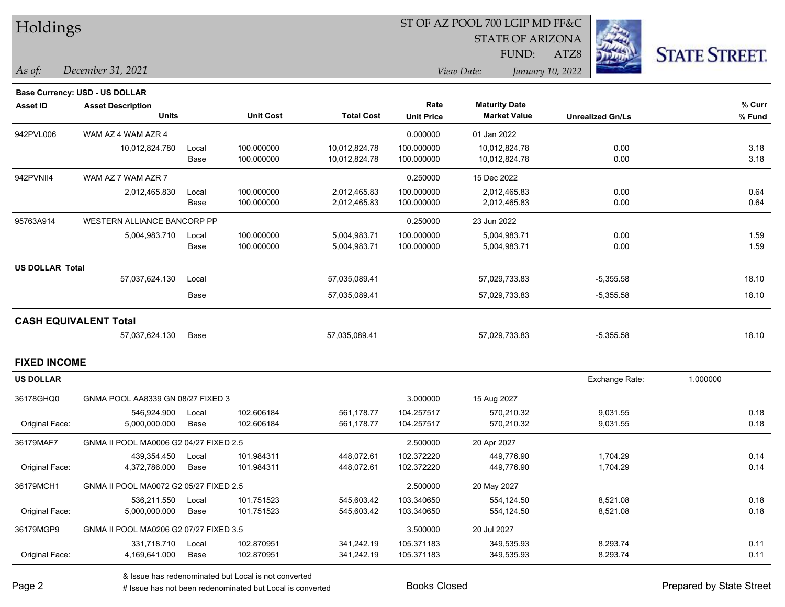|  | <b>Holdings</b> |
|--|-----------------|
|--|-----------------|

**Maturity Date**

STATE OF ARIZONA

ATZ8



**% Fund**

**% Curr**

*December 31, 2021 As of: View Date: January 10, 2022*

**Base Currency: USD - US DOLLAR**

FUND:

|                        | <b>Units</b>                           |                                        | <b>Unit Cost</b> | <b>Total Cost</b> | <b>Unit Price</b>      | <b>Market Value</b> | <b>Unrealized Gn/Ls</b> | % Fun    |
|------------------------|----------------------------------------|----------------------------------------|------------------|-------------------|------------------------|---------------------|-------------------------|----------|
| 942PVL006              | WAM AZ 4 WAM AZR 4                     |                                        |                  |                   | 0.000000               | 01 Jan 2022         |                         |          |
|                        | 10,012,824.780                         | Local                                  | 100.000000       | 10,012,824.78     | 100.000000             | 10,012,824.78       | 0.00                    | 3.18     |
|                        |                                        | Base                                   | 100.000000       | 10,012,824.78     | 100.000000             | 10,012,824.78       | 0.00                    | 3.18     |
| 942PVNII4              | WAM AZ 7 WAM AZR 7                     |                                        |                  |                   | 0.250000               | 15 Dec 2022         |                         |          |
|                        | 2,012,465.830                          | Local                                  | 100.000000       | 2,012,465.83      | 100.000000             | 2,012,465.83        | 0.00                    | 0.64     |
|                        |                                        | Base                                   | 100.000000       | 2,012,465.83      | 100.000000             | 2,012,465.83        | 0.00                    | 0.64     |
| 95763A914              | WESTERN ALLIANCE BANCORP PP            |                                        |                  |                   | 0.250000               | 23 Jun 2022         |                         |          |
|                        | 5,004,983.710                          | Local                                  | 100.000000       | 5,004,983.71      | 100.000000             | 5,004,983.71        | 0.00                    | 1.59     |
|                        |                                        | Base                                   | 100.000000       | 5,004,983.71      | 100.000000             | 5,004,983.71        | 0.00                    | 1.59     |
| <b>US DOLLAR Total</b> |                                        |                                        |                  |                   |                        |                     |                         |          |
|                        | 57,037,624.130                         | Local                                  |                  | 57,035,089.41     |                        | 57,029,733.83       | $-5,355.58$             | 18.10    |
|                        |                                        | Base                                   |                  | 57,035,089.41     |                        | 57,029,733.83       | $-5,355.58$             | 18.10    |
|                        | <b>CASH EQUIVALENT Total</b>           |                                        |                  |                   |                        |                     |                         |          |
|                        | 57,037,624.130                         | Base                                   |                  | 57,035,089.41     |                        | 57,029,733.83       | $-5,355.58$             | 18.10    |
| <b>FIXED INCOME</b>    |                                        |                                        |                  |                   |                        |                     |                         |          |
| <b>US DOLLAR</b>       |                                        |                                        |                  |                   |                        |                     | Exchange Rate:          | 1.000000 |
| 36178GHQ0              | GNMA POOL AA8339 GN 08/27 FIXED 3      |                                        |                  |                   | 3.000000               | 15 Aug 2027         |                         |          |
|                        | 546.924.900                            | Local                                  | 102.606184       | 561,178.77        | 104.257517             | 570.210.32          | 9.031.55                | 0.18     |
| Original Face:         | 5,000,000.000                          | Base                                   | 102.606184       | 561,178.77        | 104.257517             | 570,210.32          | 9,031.55                | 0.18     |
| 36179MAF7              | GNMA II POOL MA0006 G2 04/27 FIXED 2.5 |                                        |                  |                   | 2.500000               | 20 Apr 2027         |                         |          |
|                        | 439,354.450                            | Local                                  | 101.984311       | 448,072.61        | 102.372220             | 449,776.90          | 1,704.29                | 0.14     |
| Original Face:         | 4,372,786.000                          | Base                                   | 101.984311       | 448,072.61        | 102.372220             | 449,776.90          | 1,704.29                | 0.14     |
| 36179MCH1              |                                        | GNMA II POOL MA0072 G2 05/27 FIXED 2.5 |                  |                   | 2.500000               | 20 May 2027         |                         |          |
|                        | 536,211.550                            | Local                                  | 101.751523       | 545,603.42        | 103.340650             | 554,124.50          | 8,521.08                | 0.18     |
| Original Focal         | E 000.000.000                          | Doon <sup>1</sup>                      | 10170100         | EAE COO AO        | 102.2100E <sub>D</sub> | $EEA$ 404 $E0$      | 0.524.00                | 0.10     |

**Asset ID Asset Description Rate**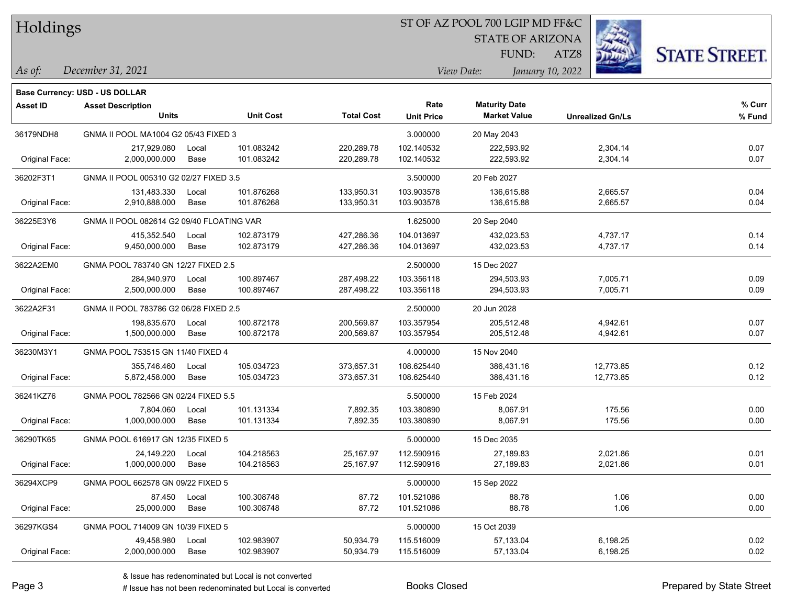| Holdings |  |
|----------|--|
|----------|--|

STATE OF ARIZONA

ATZ8



*December 31, 2021 As of: View Date: January 10, 2022*

FUND:

|                 | <b>Base Currency: USD - US DOLLAR</b>     |                                   |                  |                   |                   |                      |                         |        |
|-----------------|-------------------------------------------|-----------------------------------|------------------|-------------------|-------------------|----------------------|-------------------------|--------|
| <b>Asset ID</b> | <b>Asset Description</b>                  |                                   |                  |                   | Rate              | <b>Maturity Date</b> |                         | % Curr |
|                 | <b>Units</b>                              |                                   | <b>Unit Cost</b> | <b>Total Cost</b> | <b>Unit Price</b> | <b>Market Value</b>  | <b>Unrealized Gn/Ls</b> | % Fund |
| 36179NDH8       | GNMA II POOL MA1004 G2 05/43 FIXED 3      |                                   |                  |                   | 3.000000          | 20 May 2043          |                         |        |
|                 | 217,929.080                               | Local                             | 101.083242       | 220,289.78        | 102.140532        | 222,593.92           | 2,304.14                | 0.07   |
| Original Face:  | 2,000,000.000                             | Base                              | 101.083242       | 220,289.78        | 102.140532        | 222,593.92           | 2,304.14                | 0.07   |
| 36202F3T1       | GNMA II POOL 005310 G2 02/27 FIXED 3.5    |                                   |                  | 3.500000          | 20 Feb 2027       |                      |                         |        |
|                 | 131,483.330                               | Local                             | 101.876268       | 133,950.31        | 103.903578        | 136,615.88           | 2,665.57                | 0.04   |
| Original Face:  | 2,910,888.000                             | Base                              | 101.876268       | 133,950.31        | 103.903578        | 136,615.88           | 2,665.57                | 0.04   |
| 36225E3Y6       | GNMA II POOL 082614 G2 09/40 FLOATING VAR |                                   |                  |                   | 1.625000          | 20 Sep 2040          |                         |        |
|                 | 415,352.540                               | Local                             | 102.873179       | 427,286.36        | 104.013697        | 432,023.53           | 4,737.17                | 0.14   |
| Original Face:  | 9,450,000.000                             | Base                              | 102.873179       | 427,286.36        | 104.013697        | 432,023.53           | 4,737.17                | 0.14   |
| 3622A2EM0       | GNMA POOL 783740 GN 12/27 FIXED 2.5       |                                   |                  |                   | 2.500000          | 15 Dec 2027          |                         |        |
|                 | 284,940.970                               | Local                             | 100.897467       | 287,498.22        | 103.356118        | 294,503.93           | 7,005.71                | 0.09   |
| Original Face:  | 2,500,000.000                             | Base                              | 100.897467       | 287,498.22        | 103.356118        | 294,503.93           | 7,005.71                | 0.09   |
| 3622A2F31       | GNMA II POOL 783786 G2 06/28 FIXED 2.5    |                                   |                  |                   | 2.500000          | 20 Jun 2028          |                         |        |
|                 | 198,835.670                               | Local                             | 100.872178       | 200,569.87        | 103.357954        | 205,512.48           | 4,942.61                | 0.07   |
| Original Face:  | 1,500,000.000                             | Base                              | 100.872178       | 200,569.87        | 103.357954        | 205,512.48           | 4,942.61                | 0.07   |
| 36230M3Y1       |                                           | GNMA POOL 753515 GN 11/40 FIXED 4 |                  |                   | 4.000000          | 15 Nov 2040          |                         |        |
|                 | 355,746.460                               | Local                             | 105.034723       | 373,657.31        | 108.625440        | 386,431.16           | 12,773.85               | 0.12   |
| Original Face:  | 5,872,458.000                             | Base                              | 105.034723       | 373,657.31        | 108.625440        | 386,431.16           | 12,773.85               | 0.12   |
| 36241KZ76       | GNMA POOL 782566 GN 02/24 FIXED 5.5       |                                   |                  |                   | 5.500000          | 15 Feb 2024          |                         |        |
|                 | 7,804.060                                 | Local                             | 101.131334       | 7,892.35          | 103.380890        | 8,067.91             | 175.56                  | 0.00   |
| Original Face:  | 1,000,000.000                             | Base                              | 101.131334       | 7,892.35          | 103.380890        | 8,067.91             | 175.56                  | 0.00   |
| 36290TK65       | GNMA POOL 616917 GN 12/35 FIXED 5         |                                   |                  |                   | 5.000000          | 15 Dec 2035          |                         |        |
|                 | 24,149.220                                | Local                             | 104.218563       | 25,167.97         | 112.590916        | 27,189.83            | 2,021.86                | 0.01   |
| Original Face:  | 1,000,000.000                             | Base                              | 104.218563       | 25,167.97         | 112.590916        | 27,189.83            | 2,021.86                | 0.01   |
| 36294XCP9       | GNMA POOL 662578 GN 09/22 FIXED 5         |                                   |                  |                   | 5.000000          | 15 Sep 2022          |                         |        |
|                 | 87.450                                    | Local                             | 100.308748       | 87.72             | 101.521086        | 88.78                | 1.06                    | 0.00   |
| Original Face:  | 25,000.000                                | Base                              | 100.308748       | 87.72             | 101.521086        | 88.78                | 1.06                    | 0.00   |
| 36297KGS4       | GNMA POOL 714009 GN 10/39 FIXED 5         |                                   |                  |                   | 5.000000          | 15 Oct 2039          |                         |        |
|                 | 49,458.980                                | Local                             | 102.983907       | 50,934.79         | 115.516009        | 57,133.04            | 6,198.25                | 0.02   |

Original Face: 2,000,000.000 Base 102.983907 50,934.79 115.516009 57,133.04 6,198.25 0.02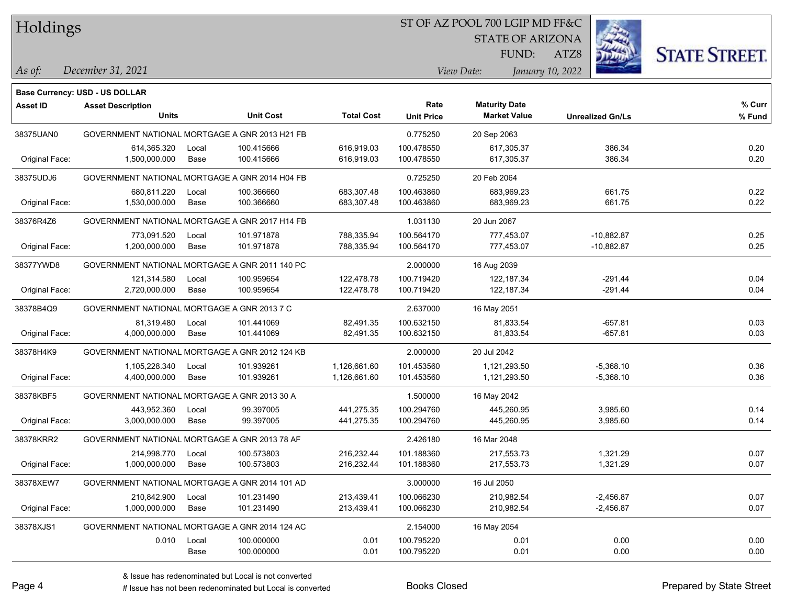#### ST OF AZ POOL 700 LGIP MD FF&C

STATE OF ARIZONA

ATZ8



*December 31, 2021 As of: View Date: January 10, 2022*

|                 | Base Currency: USD - US DOLLAR                 |       |                  |                   |                   |                      |                         |        |
|-----------------|------------------------------------------------|-------|------------------|-------------------|-------------------|----------------------|-------------------------|--------|
| <b>Asset ID</b> | <b>Asset Description</b>                       |       |                  |                   | Rate              | <b>Maturity Date</b> |                         | % Curr |
|                 | <b>Units</b>                                   |       | <b>Unit Cost</b> | <b>Total Cost</b> | <b>Unit Price</b> | <b>Market Value</b>  | <b>Unrealized Gn/Ls</b> | % Fund |
| 38375UAN0       | GOVERNMENT NATIONAL MORTGAGE A GNR 2013 H21 FB |       |                  |                   | 0.775250          | 20 Sep 2063          |                         |        |
|                 | 614,365.320                                    | Local | 100.415666       | 616,919.03        | 100.478550        | 617,305.37           | 386.34                  | 0.20   |
| Original Face:  | 1,500,000.000                                  | Base  | 100.415666       | 616,919.03        | 100.478550        | 617,305.37           | 386.34                  | 0.20   |
| 38375UDJ6       | GOVERNMENT NATIONAL MORTGAGE A GNR 2014 H04 FB |       |                  |                   | 0.725250          | 20 Feb 2064          |                         |        |
|                 | 680,811.220                                    | Local | 100.366660       | 683,307.48        | 100.463860        | 683,969.23           | 661.75                  | 0.22   |
| Original Face:  | 1,530,000.000                                  | Base  | 100.366660       | 683,307.48        | 100.463860        | 683,969.23           | 661.75                  | 0.22   |
| 38376R4Z6       | GOVERNMENT NATIONAL MORTGAGE A GNR 2017 H14 FB |       |                  |                   | 1.031130          | 20 Jun 2067          |                         |        |
|                 | 773,091.520                                    | Local | 101.971878       | 788,335.94        | 100.564170        | 777,453.07           | $-10,882.87$            | 0.25   |
| Original Face:  | 1,200,000.000                                  | Base  | 101.971878       | 788,335.94        | 100.564170        | 777,453.07           | $-10,882.87$            | 0.25   |
| 38377YWD8       | GOVERNMENT NATIONAL MORTGAGE A GNR 2011 140 PC |       |                  | 2.000000          | 16 Aug 2039       |                      |                         |        |
|                 | 121,314.580                                    | Local | 100.959654       | 122,478.78        | 100.719420        | 122,187.34           | $-291.44$               | 0.04   |
| Original Face:  | 2,720,000.000                                  | Base  | 100.959654       | 122,478.78        | 100.719420        | 122,187.34           | $-291.44$               | 0.04   |
| 38378B4Q9       | GOVERNMENT NATIONAL MORTGAGE A GNR 2013 7 C    |       |                  |                   | 2.637000          | 16 May 2051          |                         |        |
|                 | 81,319.480                                     | Local | 101.441069       | 82,491.35         | 100.632150        | 81,833.54            | $-657.81$               | 0.03   |
| Original Face:  | 4,000,000.000                                  | Base  | 101.441069       | 82,491.35         | 100.632150        | 81,833.54            | $-657.81$               | 0.03   |
| 38378H4K9       | GOVERNMENT NATIONAL MORTGAGE A GNR 2012 124 KB |       |                  |                   | 2.000000          | 20 Jul 2042          |                         |        |
|                 | 1,105,228.340                                  | Local | 101.939261       | 1,126,661.60      | 101.453560        | 1,121,293.50         | $-5,368.10$             | 0.36   |
| Original Face:  | 4,400,000.000                                  | Base  | 101.939261       | 1,126,661.60      | 101.453560        | 1,121,293.50         | $-5,368.10$             | 0.36   |
| 38378KBF5       | GOVERNMENT NATIONAL MORTGAGE A GNR 2013 30 A   |       |                  |                   | 1.500000          | 16 May 2042          |                         |        |
|                 | 443,952.360                                    | Local | 99.397005        | 441,275.35        | 100.294760        | 445,260.95           | 3,985.60                | 0.14   |
| Original Face:  | 3,000,000.000                                  | Base  | 99.397005        | 441,275.35        | 100.294760        | 445,260.95           | 3,985.60                | 0.14   |
| 38378KRR2       | GOVERNMENT NATIONAL MORTGAGE A GNR 2013 78 AF  |       |                  |                   | 2.426180          | 16 Mar 2048          |                         |        |
|                 | 214,998.770                                    | Local | 100.573803       | 216,232.44        | 101.188360        | 217,553.73           | 1,321.29                | 0.07   |
| Original Face:  | 1,000,000.000                                  | Base  | 100.573803       | 216,232.44        | 101.188360        | 217,553.73           | 1,321.29                | 0.07   |
| 38378XEW7       | GOVERNMENT NATIONAL MORTGAGE A GNR 2014 101 AD |       |                  |                   | 3.000000          | 16 Jul 2050          |                         |        |
|                 | 210,842.900                                    | Local | 101.231490       | 213,439.41        | 100.066230        | 210,982.54           | $-2,456.87$             | 0.07   |
| Original Face:  | 1,000,000.000                                  | Base  | 101.231490       | 213,439.41        | 100.066230        | 210,982.54           | $-2,456.87$             | 0.07   |
| 38378XJS1       | GOVERNMENT NATIONAL MORTGAGE A GNR 2014 124 AC |       |                  |                   | 2.154000          | 16 May 2054          |                         |        |
|                 | 0.010                                          | Local | 100.000000       | 0.01              | 100.795220        | 0.01                 | 0.00                    | 0.00   |
|                 |                                                | Base  | 100.000000       | 0.01              | 100.795220        | 0.01                 | 0.00                    | 0.00   |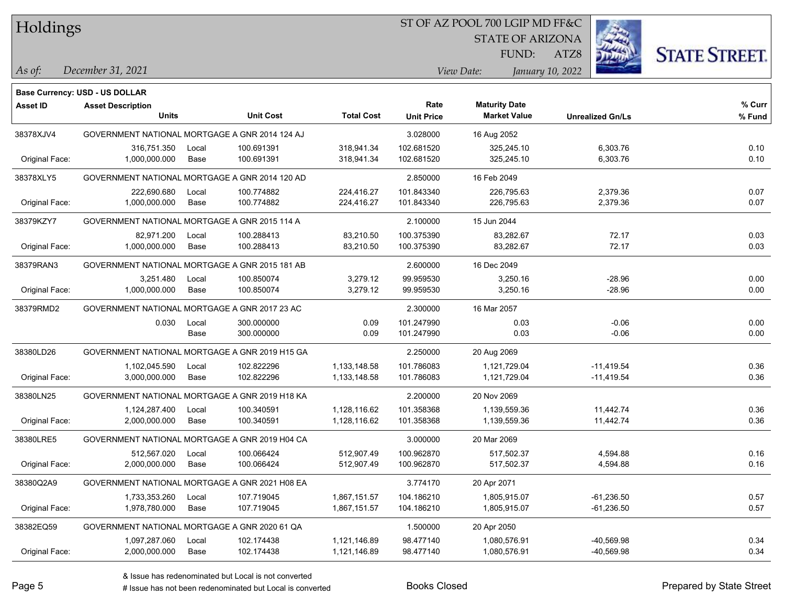## ST OF AZ POOL 700 LGIP MD FF&C

STATE OF ARIZONA

ATZ8



*December 31, 2021 As of: View Date: January 10, 2022*

**Base Currency: USD - US DOLLAR**

| <b>Asset ID</b> | <b>Asset Description</b>                       |       |                  |                   | Rate              | <b>Maturity Date</b> |                         | % Curr |
|-----------------|------------------------------------------------|-------|------------------|-------------------|-------------------|----------------------|-------------------------|--------|
|                 | <b>Units</b>                                   |       | <b>Unit Cost</b> | <b>Total Cost</b> | <b>Unit Price</b> | <b>Market Value</b>  | <b>Unrealized Gn/Ls</b> | % Fund |
| 38378XJV4       | GOVERNMENT NATIONAL MORTGAGE A GNR 2014 124 AJ |       |                  |                   | 3.028000          | 16 Aug 2052          |                         |        |
|                 | 316,751.350                                    | Local | 100.691391       | 318,941.34        | 102.681520        | 325,245.10           | 6,303.76                | 0.10   |
| Original Face:  | 1,000,000.000                                  | Base  | 100.691391       | 318,941.34        | 102.681520        | 325,245.10           | 6,303.76                | 0.10   |
| 38378XLY5       | GOVERNMENT NATIONAL MORTGAGE A GNR 2014 120 AD |       |                  |                   | 2.850000          | 16 Feb 2049          |                         |        |
|                 | 222,690.680                                    | Local | 100.774882       | 224,416.27        | 101.843340        | 226,795.63           | 2,379.36                | 0.07   |
| Original Face:  | 1,000,000.000                                  | Base  | 100.774882       | 224,416.27        | 101.843340        | 226,795.63           | 2,379.36                | 0.07   |
| 38379KZY7       | GOVERNMENT NATIONAL MORTGAGE A GNR 2015 114 A  |       |                  |                   | 2.100000          | 15 Jun 2044          |                         |        |
|                 | 82,971.200                                     | Local | 100.288413       | 83,210.50         | 100.375390        | 83,282.67            | 72.17                   | 0.03   |
| Original Face:  | 1,000,000.000                                  | Base  | 100.288413       | 83,210.50         | 100.375390        | 83,282.67            | 72.17                   | 0.03   |
| 38379RAN3       | GOVERNMENT NATIONAL MORTGAGE A GNR 2015 181 AB |       |                  |                   | 2.600000          | 16 Dec 2049          |                         |        |
|                 | 3,251.480                                      | Local | 100.850074       | 3,279.12          | 99.959530         | 3,250.16             | $-28.96$                | 0.00   |
| Original Face:  | 1,000,000.000                                  | Base  | 100.850074       | 3,279.12          | 99.959530         | 3,250.16             | $-28.96$                | 0.00   |
| 38379RMD2       | GOVERNMENT NATIONAL MORTGAGE A GNR 2017 23 AC  |       |                  |                   | 2.300000          | 16 Mar 2057          |                         |        |
|                 | 0.030                                          | Local | 300.000000       | 0.09              | 101.247990        | 0.03                 | $-0.06$                 | 0.00   |
|                 |                                                | Base  | 300.000000       | 0.09              | 101.247990        | 0.03                 | $-0.06$                 | 0.00   |
| 38380LD26       | GOVERNMENT NATIONAL MORTGAGE A GNR 2019 H15 GA |       |                  |                   | 2.250000          | 20 Aug 2069          |                         |        |
|                 | 1,102,045.590                                  | Local | 102.822296       | 1,133,148.58      | 101.786083        | 1,121,729.04         | $-11,419.54$            | 0.36   |
| Original Face:  | 3,000,000.000                                  | Base  | 102.822296       | 1,133,148.58      | 101.786083        | 1,121,729.04         | $-11,419.54$            | 0.36   |
| 38380LN25       | GOVERNMENT NATIONAL MORTGAGE A GNR 2019 H18 KA |       |                  |                   | 2.200000          | 20 Nov 2069          |                         |        |
|                 | 1,124,287.400                                  | Local | 100.340591       | 1,128,116.62      | 101.358368        | 1,139,559.36         | 11,442.74               | 0.36   |
| Original Face:  | 2,000,000.000                                  | Base  | 100.340591       | 1,128,116.62      | 101.358368        | 1,139,559.36         | 11,442.74               | 0.36   |
| 38380LRE5       | GOVERNMENT NATIONAL MORTGAGE A GNR 2019 H04 CA |       |                  |                   | 3.000000          | 20 Mar 2069          |                         |        |
|                 | 512,567.020                                    | Local | 100.066424       | 512,907.49        | 100.962870        | 517,502.37           | 4,594.88                | 0.16   |
| Original Face:  | 2,000,000.000                                  | Base  | 100.066424       | 512,907.49        | 100.962870        | 517,502.37           | 4,594.88                | 0.16   |
| 38380Q2A9       | GOVERNMENT NATIONAL MORTGAGE A GNR 2021 H08 EA |       |                  |                   | 3.774170          | 20 Apr 2071          |                         |        |
|                 | 1,733,353.260                                  | Local | 107.719045       | 1,867,151.57      | 104.186210        | 1,805,915.07         | $-61,236.50$            | 0.57   |
| Original Face:  | 1,978,780.000                                  | Base  | 107.719045       | 1,867,151.57      | 104.186210        | 1,805,915.07         | $-61,236.50$            | 0.57   |
| 38382EQ59       | GOVERNMENT NATIONAL MORTGAGE A GNR 2020 61 QA  |       |                  |                   | 1.500000          | 20 Apr 2050          |                         |        |
|                 | 1,097,287.060                                  | Local | 102.174438       | 1,121,146.89      | 98.477140         | 1,080,576.91         | $-40,569.98$            | 0.34   |
| Original Face:  | 2,000,000.000                                  | Base  | 102.174438       | 1,121,146.89      | 98.477140         | 1,080,576.91         | $-40,569.98$            | 0.34   |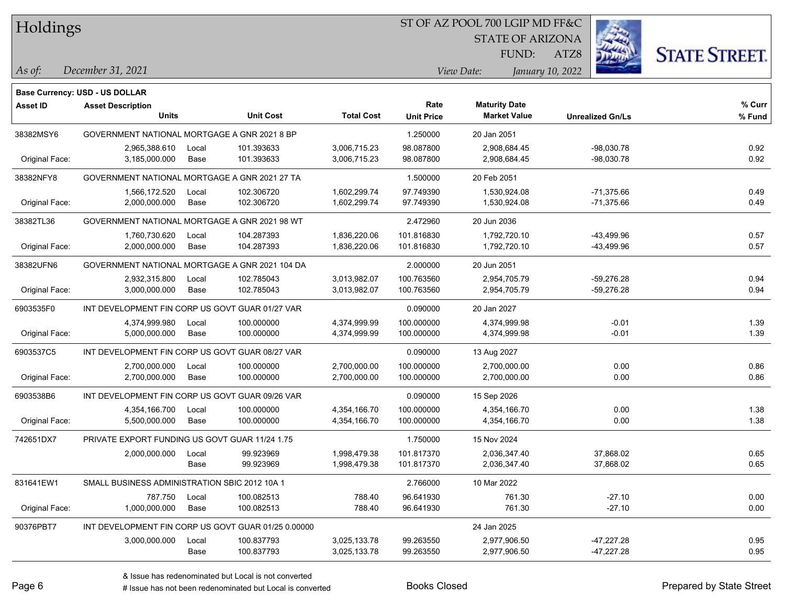## ST OF AZ POOL 700 LGIP MD FF&C

STATE OF ARIZONA

ATZ8



*December 31, 2021 As of: View Date: January 10, 2022*

**Base Currency: USD - US DOLLAR**

FUND:

| <b>Asset ID</b> | <b>Asset Description</b>                        |                                                     |                  |                   | Rate              | <b>Maturity Date</b> |                         | % Curr |
|-----------------|-------------------------------------------------|-----------------------------------------------------|------------------|-------------------|-------------------|----------------------|-------------------------|--------|
|                 | <b>Units</b>                                    |                                                     | <b>Unit Cost</b> | <b>Total Cost</b> | <b>Unit Price</b> | <b>Market Value</b>  | <b>Unrealized Gn/Ls</b> | % Fund |
| 38382MSY6       | GOVERNMENT NATIONAL MORTGAGE A GNR 2021 8 BP    |                                                     |                  |                   | 1.250000          | 20 Jan 2051          |                         |        |
|                 | 2,965,388.610                                   | Local                                               | 101.393633       | 3,006,715.23      | 98.087800         | 2,908,684.45         | $-98,030.78$            | 0.92   |
| Original Face:  | 3,185,000.000                                   | Base                                                | 101.393633       | 3,006,715.23      | 98.087800         | 2,908,684.45         | $-98,030.78$            | 0.92   |
| 38382NFY8       | GOVERNMENT NATIONAL MORTGAGE A GNR 2021 27 TA   |                                                     |                  |                   | 1.500000          | 20 Feb 2051          |                         |        |
|                 | 1,566,172.520                                   | Local                                               | 102.306720       | 1,602,299.74      | 97.749390         | 1,530,924.08         | -71,375.66              | 0.49   |
| Original Face:  | 2,000,000.000                                   | Base                                                | 102.306720       | 1,602,299.74      | 97.749390         | 1,530,924.08         | $-71,375.66$            | 0.49   |
| 38382TL36       | GOVERNMENT NATIONAL MORTGAGE A GNR 2021 98 WT   |                                                     |                  |                   | 2.472960          | 20 Jun 2036          |                         |        |
|                 | 1,760,730.620                                   | Local                                               | 104.287393       | 1,836,220.06      | 101.816830        | 1,792,720.10         | -43,499.96              | 0.57   |
| Original Face:  | 2,000,000.000                                   | Base                                                | 104.287393       | 1,836,220.06      | 101.816830        | 1,792,720.10         | -43,499.96              | 0.57   |
| 38382UFN6       | GOVERNMENT NATIONAL MORTGAGE A GNR 2021 104 DA  |                                                     |                  |                   | 2.000000          | 20 Jun 2051          |                         |        |
|                 | 2,932,315.800                                   | Local                                               | 102.785043       | 3,013,982.07      | 100.763560        | 2,954,705.79         | $-59,276.28$            | 0.94   |
| Original Face:  | 3,000,000.000                                   | Base                                                | 102.785043       | 3,013,982.07      | 100.763560        | 2,954,705.79         | $-59,276.28$            | 0.94   |
| 6903535F0       | INT DEVELOPMENT FIN CORP US GOVT GUAR 01/27 VAR |                                                     |                  |                   | 0.090000          | 20 Jan 2027          |                         |        |
|                 | 4,374,999.980                                   | Local                                               | 100.000000       | 4,374,999.99      | 100.000000        | 4,374,999.98         | $-0.01$                 | 1.39   |
| Original Face:  | 5,000,000.000                                   | Base                                                | 100.000000       | 4,374,999.99      | 100.000000        | 4,374,999.98         | $-0.01$                 | 1.39   |
| 6903537C5       | INT DEVELOPMENT FIN CORP US GOVT GUAR 08/27 VAR |                                                     |                  |                   | 0.090000          | 13 Aug 2027          |                         |        |
|                 | 2,700,000.000                                   | Local                                               | 100.000000       | 2,700,000.00      | 100.000000        | 2,700,000.00         | 0.00                    | 0.86   |
| Original Face:  | 2,700,000.000                                   | Base                                                | 100.000000       | 2,700,000.00      | 100.000000        | 2,700,000.00         | 0.00                    | 0.86   |
| 6903538B6       | INT DEVELOPMENT FIN CORP US GOVT GUAR 09/26 VAR |                                                     |                  |                   | 0.090000          | 15 Sep 2026          |                         |        |
|                 | 4,354,166.700                                   | Local                                               | 100.000000       | 4,354,166.70      | 100.000000        | 4,354,166.70         | 0.00                    | 1.38   |
| Original Face:  | 5,500,000.000                                   | Base                                                | 100.000000       | 4,354,166.70      | 100.000000        | 4,354,166.70         | 0.00                    | 1.38   |
| 742651DX7       | PRIVATE EXPORT FUNDING US GOVT GUAR 11/24 1.75  |                                                     |                  |                   | 1.750000          | 15 Nov 2024          |                         |        |
|                 | 2,000,000.000                                   | Local                                               | 99.923969        | 1,998,479.38      | 101.817370        | 2,036,347.40         | 37,868.02               | 0.65   |
|                 |                                                 | Base                                                | 99.923969        | 1,998,479.38      | 101.817370        | 2,036,347.40         | 37,868.02               | 0.65   |
| 831641EW1       | SMALL BUSINESS ADMINISTRATION SBIC 2012 10A 1   |                                                     |                  |                   | 2.766000          | 10 Mar 2022          |                         |        |
|                 | 787.750                                         | Local                                               | 100.082513       | 788.40            | 96.641930         | 761.30               | $-27.10$                | 0.00   |
| Original Face:  | 1,000,000.000                                   | Base                                                | 100.082513       | 788.40            | 96.641930         | 761.30               | $-27.10$                | 0.00   |
| 90376PBT7       |                                                 | INT DEVELOPMENT FIN CORP US GOVT GUAR 01/25 0.00000 |                  |                   |                   | 24 Jan 2025          |                         |        |
|                 | 3,000,000.000                                   | Local                                               | 100.837793       | 3,025,133.78      | 99.263550         | 2,977,906.50         | $-47,227.28$            | 0.95   |

# Issue has not been redenominated but Local is converted Books Closed Prepared by State Street

Base 100.837793 3,025,133.78 99.263550 2,977,906.50 -47,227.28 0.95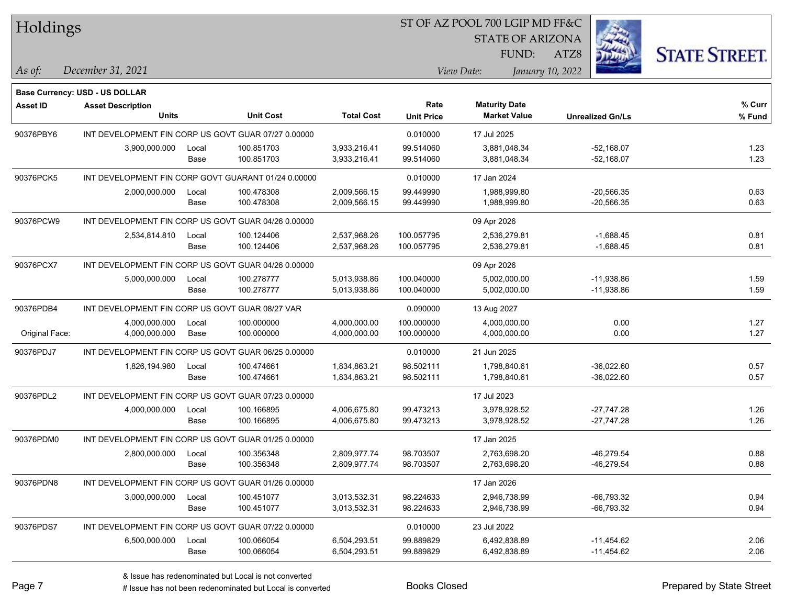|  | <b>Holdings</b> |
|--|-----------------|
|  |                 |

STATE OF ARIZONA

ATZ8



**% Fund**

**% Curr**

*December 31, 2021 As of: View Date: January 10, 2022*

**Base Currency: USD - US DOLLAR**

FUND:

| Asset ID       | <b>Asset Description</b><br>Units                   |       | <b>Unit Cost</b> | <b>Total Cost</b> | Rate<br><b>Unit Price</b> | <b>Maturity Date</b><br><b>Market Value</b> | <b>Unrealized Gn/Ls</b> | % Cur<br>% Fun |
|----------------|-----------------------------------------------------|-------|------------------|-------------------|---------------------------|---------------------------------------------|-------------------------|----------------|
| 90376PBY6      | INT DEVELOPMENT FIN CORP US GOVT GUAR 07/27 0.00000 |       |                  | 0.010000          | 17 Jul 2025               |                                             |                         |                |
|                | 3,900,000.000                                       | Local | 100.851703       | 3,933,216.41      | 99.514060                 | 3,881,048.34                                | $-52,168.07$            | 1.23           |
|                |                                                     | Base  | 100.851703       | 3,933,216.41      | 99.514060                 | 3,881,048.34                                | $-52,168.07$            | 1.23           |
| 90376PCK5      | INT DEVELOPMENT FIN CORP GOVT GUARANT 01/24 0.00000 |       |                  |                   | 0.010000                  | 17 Jan 2024                                 |                         |                |
|                | 2,000,000.000                                       | Local | 100.478308       | 2,009,566.15      | 99.449990                 | 1,988,999.80                                | $-20,566.35$            | 0.63           |
|                |                                                     | Base  | 100.478308       | 2,009,566.15      | 99.449990                 | 1,988,999.80                                | $-20,566.35$            | 0.63           |
| 90376PCW9      | INT DEVELOPMENT FIN CORP US GOVT GUAR 04/26 0.00000 |       |                  |                   |                           | 09 Apr 2026                                 |                         |                |
|                | 2,534,814.810                                       | Local | 100.124406       | 2,537,968.26      | 100.057795                | 2,536,279.81                                | $-1,688.45$             | 0.81           |
|                |                                                     | Base  | 100.124406       | 2,537,968.26      | 100.057795                | 2,536,279.81                                | $-1,688.45$             | 0.81           |
| 90376PCX7      | INT DEVELOPMENT FIN CORP US GOVT GUAR 04/26 0.00000 |       |                  |                   |                           | 09 Apr 2026                                 |                         |                |
|                | 5,000,000.000                                       | Local | 100.278777       | 5,013,938.86      | 100.040000                | 5,002,000.00                                | $-11,938.86$            | 1.59           |
|                |                                                     | Base  | 100.278777       | 5,013,938.86      | 100.040000                | 5,002,000.00                                | $-11,938.86$            | 1.59           |
| 90376PDB4      | INT DEVELOPMENT FIN CORP US GOVT GUAR 08/27 VAR     |       |                  | 0.090000          | 13 Aug 2027               |                                             |                         |                |
|                | 4,000,000.000                                       | Local | 100.000000       | 4,000,000.00      | 100.000000                | 4,000,000.00                                | 0.00                    | 1.27           |
| Original Face: | 4,000,000.000                                       | Base  | 100.000000       | 4,000,000.00      | 100.000000                | 4,000,000.00                                | 0.00                    | 1.27           |
| 90376PDJ7      | INT DEVELOPMENT FIN CORP US GOVT GUAR 06/25 0.00000 |       |                  | 0.010000          | 21 Jun 2025               |                                             |                         |                |
|                | 1,826,194.980                                       | Local | 100.474661       | 1,834,863.21      | 98.502111                 | 1,798,840.61                                | $-36,022.60$            | 0.57           |
|                |                                                     | Base  | 100.474661       | 1,834,863.21      | 98.502111                 | 1,798,840.61                                | $-36,022.60$            | 0.57           |
| 90376PDL2      | INT DEVELOPMENT FIN CORP US GOVT GUAR 07/23 0.00000 |       |                  |                   |                           | 17 Jul 2023                                 |                         |                |
|                | 4,000,000.000                                       | Local | 100.166895       | 4,006,675.80      | 99.473213                 | 3,978,928.52                                | $-27,747.28$            | 1.26           |
|                |                                                     | Base  | 100.166895       | 4,006,675.80      | 99.473213                 | 3,978,928.52                                | $-27,747.28$            | 1.26           |
| 90376PDM0      | INT DEVELOPMENT FIN CORP US GOVT GUAR 01/25 0.00000 |       |                  |                   |                           | 17 Jan 2025                                 |                         |                |
|                | 2,800,000.000                                       | Local | 100.356348       | 2,809,977.74      | 98.703507                 | 2,763,698.20                                | $-46,279.54$            | 0.88           |
|                |                                                     | Base  | 100.356348       | 2,809,977.74      | 98.703507                 | 2,763,698.20                                | $-46,279.54$            | 0.88           |
| 90376PDN8      | INT DEVELOPMENT FIN CORP US GOVT GUAR 01/26 0.00000 |       |                  |                   |                           | 17 Jan 2026                                 |                         |                |
|                | 3,000,000.000                                       | Local | 100.451077       | 3,013,532.31      | 98.224633                 | 2,946,738.99                                | $-66,793.32$            | 0.94           |
|                |                                                     | Base  | 100.451077       | 3,013,532.31      | 98.224633                 | 2,946,738.99                                | $-66,793.32$            | 0.94           |
| 90376PDS7      | INT DEVELOPMENT FIN CORP US GOVT GUAR 07/22 0.00000 |       |                  |                   | 0.010000                  | 23 Jul 2022                                 |                         |                |

6,500,000.000 Local 100.066054 6,504,293.51 99.889829 6,492,838.89 -11,454.62 2.06

Base 100.066054 6,504,293.51 99.889829 6,492,838.89 -11,454.62 2.06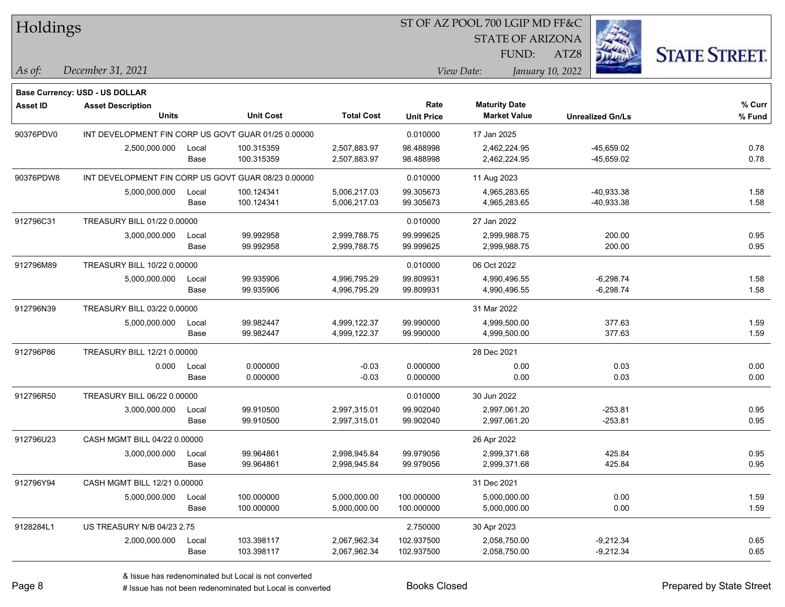|  | <b>Holdings</b> |
|--|-----------------|
|  |                 |

STATE OF ARIZONA

ATZ8



*December 31, 2021 As of: View Date: January 10, 2022*

**Base Currency: USD - US DOLLAR**

| Asset ID  | <b>Asset Description</b>                            |                                                     |                  |                   | Rate              | <b>Maturity Date</b> |                         | % Curr |
|-----------|-----------------------------------------------------|-----------------------------------------------------|------------------|-------------------|-------------------|----------------------|-------------------------|--------|
|           | <b>Units</b>                                        |                                                     | <b>Unit Cost</b> | <b>Total Cost</b> | <b>Unit Price</b> | <b>Market Value</b>  | <b>Unrealized Gn/Ls</b> | % Fund |
| 90376PDV0 |                                                     | INT DEVELOPMENT FIN CORP US GOVT GUAR 01/25 0.00000 |                  |                   |                   | 17 Jan 2025          |                         |        |
|           | 2,500,000.000                                       | Local                                               | 100.315359       | 2,507,883.97      | 98.488998         | 2,462,224.95         | -45,659.02              | 0.78   |
|           |                                                     | Base                                                | 100.315359       | 2,507,883.97      | 98.488998         | 2,462,224.95         | -45,659.02              | 0.78   |
| 90376PDW8 | INT DEVELOPMENT FIN CORP US GOVT GUAR 08/23 0.00000 |                                                     |                  |                   | 0.010000          | 11 Aug 2023          |                         |        |
|           | 5,000,000.000                                       | Local                                               | 100.124341       | 5,006,217.03      | 99.305673         | 4,965,283.65         | $-40,933.38$            | 1.58   |
|           |                                                     | Base                                                | 100.124341       | 5,006,217.03      | 99.305673         | 4,965,283.65         | $-40,933.38$            | 1.58   |
| 912796C31 | TREASURY BILL 01/22 0.00000                         |                                                     |                  |                   | 0.010000          | 27 Jan 2022          |                         |        |
|           | 3,000,000.000                                       | Local                                               | 99.992958        | 2,999,788.75      | 99.999625         | 2,999,988.75         | 200.00                  | 0.95   |
|           |                                                     | Base                                                | 99.992958        | 2,999,788.75      | 99.999625         | 2,999,988.75         | 200.00                  | 0.95   |
| 912796M89 | TREASURY BILL 10/22 0.00000                         |                                                     |                  |                   | 0.010000          | 06 Oct 2022          |                         |        |
|           | 5,000,000.000                                       | Local                                               | 99.935906        | 4,996,795.29      | 99.809931         | 4,990,496.55         | $-6,298.74$             | 1.58   |
|           |                                                     | Base                                                | 99.935906        | 4,996,795.29      | 99.809931         | 4,990,496.55         | $-6,298.74$             | 1.58   |
| 912796N39 | TREASURY BILL 03/22 0.00000                         |                                                     |                  |                   |                   | 31 Mar 2022          |                         |        |
|           | 5,000,000.000                                       | Local                                               | 99.982447        | 4,999,122.37      | 99.990000         | 4,999,500.00         | 377.63                  | 1.59   |
|           |                                                     | Base                                                | 99.982447        | 4,999,122.37      | 99.990000         | 4,999,500.00         | 377.63                  | 1.59   |
| 912796P86 | TREASURY BILL 12/21 0.00000                         |                                                     |                  |                   |                   | 28 Dec 2021          |                         |        |
|           | 0.000                                               | Local                                               | 0.000000         | $-0.03$           | 0.000000          | 0.00                 | 0.03                    | 0.00   |
|           |                                                     | Base                                                | 0.000000         | $-0.03$           | 0.000000          | 0.00                 | 0.03                    | 0.00   |
| 912796R50 | TREASURY BILL 06/22 0.00000                         |                                                     |                  |                   | 0.010000          | 30 Jun 2022          |                         |        |
|           | 3,000,000.000                                       | Local                                               | 99.910500        | 2,997,315.01      | 99.902040         | 2,997,061.20         | $-253.81$               | 0.95   |
|           |                                                     | Base                                                | 99.910500        | 2,997,315.01      | 99.902040         | 2,997,061.20         | $-253.81$               | 0.95   |
| 912796U23 | CASH MGMT BILL 04/22 0.00000                        |                                                     |                  |                   |                   | 26 Apr 2022          |                         |        |
|           | 3,000,000.000                                       | Local                                               | 99.964861        | 2,998,945.84      | 99.979056         | 2,999,371.68         | 425.84                  | 0.95   |
|           |                                                     | Base                                                | 99.964861        | 2,998,945.84      | 99.979056         | 2,999,371.68         | 425.84                  | 0.95   |
| 912796Y94 | CASH MGMT BILL 12/21 0.00000                        |                                                     |                  |                   |                   | 31 Dec 2021          |                         |        |
|           | 5,000,000.000                                       | Local                                               | 100.000000       | 5,000,000.00      | 100.000000        | 5,000,000.00         | 0.00                    | 1.59   |
|           |                                                     | Base                                                | 100.000000       | 5,000,000.00      | 100.000000        | 5,000,000.00         | 0.00                    | 1.59   |
| 9128284L1 | US TREASURY N/B 04/23 2.75                          |                                                     |                  |                   | 2.750000          | 30 Apr 2023          |                         |        |
|           | 2,000,000.000                                       | Local                                               | 103.398117       | 2,067,962.34      | 102.937500        | 2,058,750.00         | $-9,212.34$             | 0.65   |
|           |                                                     | Base                                                | 103.398117       | 2,067,962.34      | 102.937500        | 2,058,750.00         | $-9,212.34$             | 0.65   |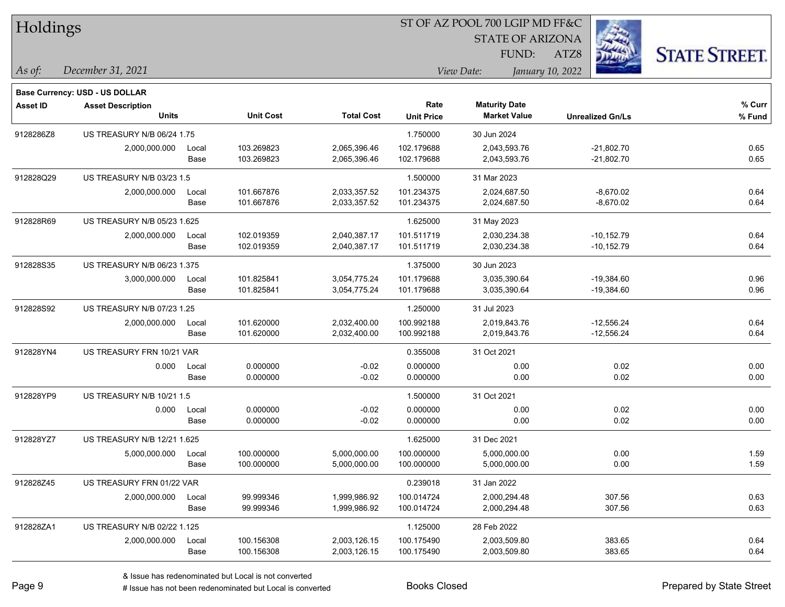| Holdings        |                                   |       |                  |                   | 51 OF AZ POOL 700 LGIP MD FF&C |                         |                         |                      |  |  |
|-----------------|-----------------------------------|-------|------------------|-------------------|--------------------------------|-------------------------|-------------------------|----------------------|--|--|
|                 |                                   |       |                  |                   |                                | <b>STATE OF ARIZONA</b> |                         |                      |  |  |
|                 |                                   |       |                  |                   |                                | FUND:                   | ATZ8                    | <b>STATE STREET.</b> |  |  |
| As of:          | December 31, 2021                 |       |                  |                   |                                | View Date:              | January 10, 2022        |                      |  |  |
|                 | Base Currency: USD - US DOLLAR    |       |                  |                   |                                |                         |                         |                      |  |  |
| <b>Asset ID</b> | <b>Asset Description</b>          |       |                  |                   | Rate                           | <b>Maturity Date</b>    |                         | % Curr               |  |  |
|                 | <b>Units</b>                      |       | <b>Unit Cost</b> | <b>Total Cost</b> | <b>Unit Price</b>              | <b>Market Value</b>     | <b>Unrealized Gn/Ls</b> | % Fund               |  |  |
| 9128286Z8       | <b>US TREASURY N/B 06/24 1.75</b> |       |                  |                   | 1.750000                       | 30 Jun 2024             |                         |                      |  |  |
|                 | 2,000,000.000                     | Local | 103.269823       | 2,065,396.46      | 102.179688                     | 2,043,593.76            | $-21,802.70$            | 0.65                 |  |  |
|                 |                                   | Base  | 103.269823       | 2,065,396.46      | 102.179688                     | 2,043,593.76            | $-21,802.70$            | 0.65                 |  |  |
| 912828Q29       | US TREASURY N/B 03/23 1.5         |       |                  |                   | 1.500000                       | 31 Mar 2023             |                         |                      |  |  |
|                 | 2,000,000.000                     | Local | 101.667876       | 2,033,357.52      | 101.234375                     | 2,024,687.50            | $-8,670.02$             | 0.64                 |  |  |
|                 |                                   | Base  | 101.667876       | 2,033,357.52      | 101.234375                     | 2,024,687.50            | $-8,670.02$             | 0.64                 |  |  |
| 912828R69       | US TREASURY N/B 05/23 1.625       |       |                  |                   | 1.625000                       | 31 May 2023             |                         |                      |  |  |
|                 | 2,000,000.000                     | Local | 102.019359       | 2,040,387.17      | 101.511719                     | 2,030,234.38            | $-10,152.79$            | 0.64                 |  |  |
|                 |                                   | Base  | 102.019359       | 2,040,387.17      | 101.511719                     | 2,030,234.38            | $-10,152.79$            | 0.64                 |  |  |
| 912828S35       | US TREASURY N/B 06/23 1.375       |       |                  |                   | 1.375000                       | 30 Jun 2023             |                         |                      |  |  |
|                 | 3,000,000.000                     | Local | 101.825841       | 3,054,775.24      | 101.179688                     | 3,035,390.64            | $-19,384.60$            | 0.96                 |  |  |
|                 |                                   | Base  | 101.825841       | 3,054,775.24      | 101.179688                     | 3,035,390.64            | $-19,384.60$            | 0.96                 |  |  |
| 912828S92       | US TREASURY N/B 07/23 1.25        |       |                  |                   | 1.250000                       | 31 Jul 2023             |                         |                      |  |  |
|                 | 2,000,000.000                     | Local | 101.620000       | 2,032,400.00      | 100.992188                     | 2,019,843.76            | $-12,556.24$            | 0.64                 |  |  |
|                 |                                   | Base  | 101.620000       | 2,032,400.00      | 100.992188                     | 2,019,843.76            | $-12,556.24$            | 0.64                 |  |  |
| 912828YN4       | US TREASURY FRN 10/21 VAR         |       |                  |                   | 0.355008                       | 31 Oct 2021             |                         |                      |  |  |
|                 | 0.000                             | Local | 0.000000         | $-0.02$           | 0.000000                       | 0.00                    | 0.02                    | 0.00                 |  |  |
|                 |                                   | Base  | 0.000000         | $-0.02$           | 0.000000                       | 0.00                    | 0.02                    | 0.00                 |  |  |
| 912828YP9       | US TREASURY N/B 10/21 1.5         |       |                  |                   | 1.500000                       | 31 Oct 2021             |                         |                      |  |  |
|                 | 0.000                             | Local | 0.000000         | $-0.02$           | 0.000000                       | 0.00                    | 0.02                    | 0.00                 |  |  |
|                 |                                   | Base  | 0.000000         | $-0.02$           | 0.000000                       | 0.00                    | 0.02                    | 0.00                 |  |  |
| 912828YZ7       | US TREASURY N/B 12/21 1.625       |       |                  |                   | 1.625000                       | 31 Dec 2021             |                         |                      |  |  |
|                 | 5,000,000.000                     | Local | 100.000000       | 5,000,000.00      | 100.000000                     | 5,000,000.00            | 0.00                    | 1.59                 |  |  |
|                 |                                   | Base  | 100.000000       | 5,000,000.00      | 100.000000                     | 5,000,000.00            | 0.00                    | 1.59                 |  |  |
| 912828Z45       | US TREASURY FRN 01/22 VAR         |       |                  |                   | 0.239018                       | 31 Jan 2022             |                         |                      |  |  |
|                 | 2,000,000.000                     | Local | 99.999346        | 1,999,986.92      | 100.014724                     | 2,000,294.48            | 307.56                  | 0.63                 |  |  |
|                 |                                   | Base  | 99.999346        | 1,999,986.92      | 100.014724                     | 2,000,294.48            | 307.56                  | 0.63                 |  |  |
| 912828ZA1       | US TREASURY N/B 02/22 1.125       |       |                  |                   | 1.125000                       | 28 Feb 2022             |                         |                      |  |  |
|                 | 2,000,000.000                     | Local | 100.156308       | 2,003,126.15      | 100.175490                     | 2,003,509.80            | 383.65                  | 0.64                 |  |  |
|                 |                                   | Base  | 100.156308       | 2,003,126.15      | 100.175490                     | 2,003,509.80            | 383.65                  | 0.64                 |  |  |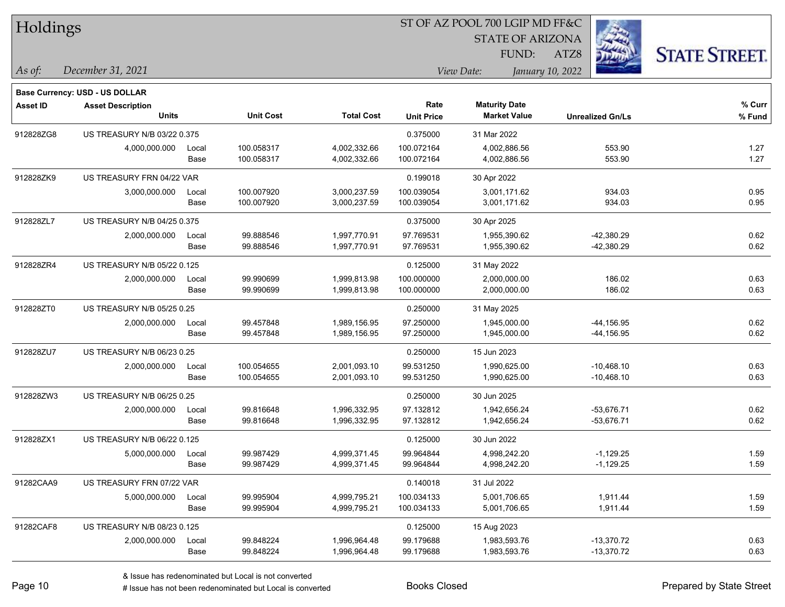| Holdings        |                                                                   |       |                  |                   |                   | ST OF AZ POOL 700 LGIP MD FF&C |                         |                      |
|-----------------|-------------------------------------------------------------------|-------|------------------|-------------------|-------------------|--------------------------------|-------------------------|----------------------|
|                 |                                                                   |       |                  |                   |                   | <b>STATE OF ARIZONA</b>        |                         |                      |
|                 |                                                                   |       |                  |                   |                   | FUND:                          | ATZ8                    | <b>STATE STREET.</b> |
| $\vert$ As of:  | December 31, 2021                                                 |       |                  |                   |                   | View Date:                     | January 10, 2022        |                      |
|                 |                                                                   |       |                  |                   |                   |                                |                         |                      |
| <b>Asset ID</b> | <b>Base Currency: USD - US DOLLAR</b><br><b>Asset Description</b> |       |                  |                   | Rate              | <b>Maturity Date</b>           |                         | % Curr               |
|                 | <b>Units</b>                                                      |       | <b>Unit Cost</b> | <b>Total Cost</b> | <b>Unit Price</b> | <b>Market Value</b>            | <b>Unrealized Gn/Ls</b> | % Fund               |
| 912828ZG8       | US TREASURY N/B 03/22 0.375                                       |       |                  |                   | 0.375000          | 31 Mar 2022                    |                         |                      |
|                 | 4,000,000.000                                                     | Local | 100.058317       | 4,002,332.66      | 100.072164        | 4,002,886.56                   | 553.90                  | 1.27                 |
|                 |                                                                   | Base  | 100.058317       | 4,002,332.66      | 100.072164        | 4,002,886.56                   | 553.90                  | 1.27                 |
| 912828ZK9       | US TREASURY FRN 04/22 VAR                                         |       |                  |                   | 0.199018          | 30 Apr 2022                    |                         |                      |
|                 | 3,000,000.000                                                     | Local | 100.007920       | 3,000,237.59      | 100.039054        | 3,001,171.62                   | 934.03                  | 0.95                 |
|                 |                                                                   | Base  | 100.007920       | 3,000,237.59      | 100.039054        | 3,001,171.62                   | 934.03                  | 0.95                 |
| 912828ZL7       | US TREASURY N/B 04/25 0.375                                       |       |                  |                   | 0.375000          | 30 Apr 2025                    |                         |                      |
|                 | 2,000,000.000                                                     | Local | 99.888546        | 1,997,770.91      | 97.769531         | 1,955,390.62                   | -42,380.29              | 0.62                 |
|                 |                                                                   | Base  | 99.888546        | 1,997,770.91      | 97.769531         | 1,955,390.62                   | -42,380.29              | 0.62                 |
| 912828ZR4       | US TREASURY N/B 05/22 0.125                                       |       |                  |                   | 0.125000          | 31 May 2022                    |                         |                      |
|                 | 2,000,000.000                                                     | Local | 99.990699        | 1,999,813.98      | 100.000000        | 2,000,000.00                   | 186.02                  | 0.63                 |
|                 |                                                                   | Base  | 99.990699        | 1,999,813.98      | 100.000000        | 2,000,000.00                   | 186.02                  | 0.63                 |
| 912828ZT0       | US TREASURY N/B 05/25 0.25                                        |       |                  |                   | 0.250000          | 31 May 2025                    |                         |                      |
|                 | 2,000,000.000                                                     | Local | 99.457848        | 1,989,156.95      | 97.250000         | 1,945,000.00                   | $-44, 156.95$           | 0.62                 |
|                 |                                                                   | Base  | 99.457848        | 1,989,156.95      | 97.250000         | 1,945,000.00                   | $-44, 156.95$           | 0.62                 |
| 912828ZU7       | US TREASURY N/B 06/23 0.25                                        |       |                  |                   | 0.250000          | 15 Jun 2023                    |                         |                      |
|                 | 2,000,000.000                                                     | Local | 100.054655       | 2,001,093.10      | 99.531250         | 1,990,625.00                   | $-10,468.10$            | 0.63                 |
|                 |                                                                   | Base  | 100.054655       | 2,001,093.10      | 99.531250         | 1,990,625.00                   | $-10,468.10$            | 0.63                 |
| 912828ZW3       | US TREASURY N/B 06/25 0.25                                        |       |                  |                   | 0.250000          | 30 Jun 2025                    |                         |                      |
|                 | 2,000,000.000                                                     | Local | 99.816648        | 1,996,332.95      | 97.132812         | 1,942,656.24                   | $-53,676.71$            | 0.62                 |
|                 |                                                                   | Base  | 99.816648        | 1,996,332.95      | 97.132812         | 1,942,656.24                   | -53,676.71              | 0.62                 |
| 912828ZX1       | US TREASURY N/B 06/22 0.125                                       |       |                  |                   | 0.125000          | 30 Jun 2022                    |                         |                      |
|                 | 5,000,000.000                                                     | Local | 99.987429        | 4,999,371.45      | 99.964844         | 4,998,242.20                   | $-1,129.25$             | 1.59                 |
|                 |                                                                   | Base  | 99.987429        | 4,999,371.45      | 99.964844         | 4,998,242.20                   | $-1,129.25$             | 1.59                 |
| 91282CAA9       | US TREASURY FRN 07/22 VAR                                         |       |                  |                   | 0.140018          | 31 Jul 2022                    |                         |                      |
|                 | 5,000,000.000                                                     | Local | 99.995904        | 4,999,795.21      | 100.034133        | 5,001,706.65                   | 1,911.44                | 1.59                 |
|                 |                                                                   | Base  | 99.995904        | 4,999,795.21      | 100.034133        | 5,001,706.65                   | 1,911.44                | 1.59                 |
| 91282CAF8       | US TREASURY N/B 08/23 0.125                                       |       |                  |                   | 0.125000          | 15 Aug 2023                    |                         |                      |
|                 | 2,000,000.000                                                     | Local | 99.848224        | 1,996,964.48      | 99.179688         | 1,983,593.76                   | $-13,370.72$            | 0.63                 |
|                 |                                                                   | Base  | 99.848224        | 1,996,964.48      | 99.179688         | 1,983,593.76                   | $-13,370.72$            | 0.63                 |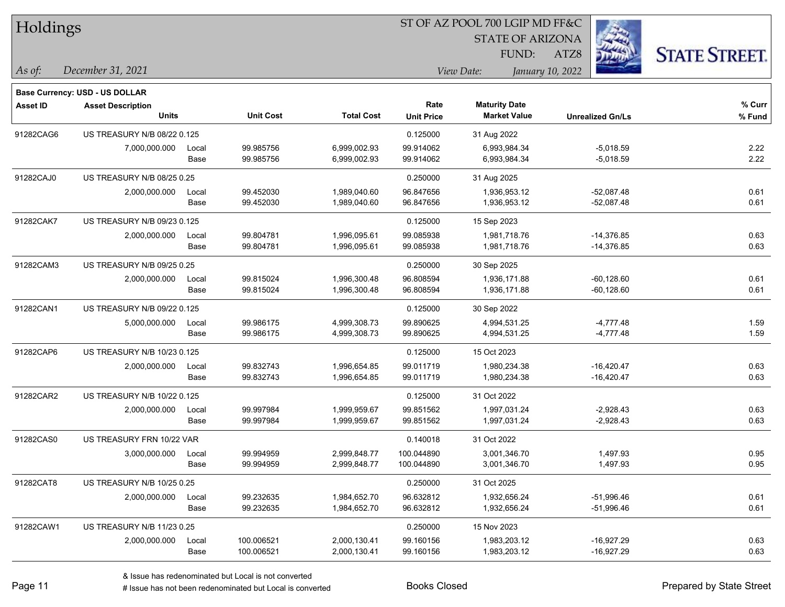| Holdings        |                                          |               |                        |                              | ST OF AZ POOL 700 LGIP MD FF&C |                                             |                              |                      |
|-----------------|------------------------------------------|---------------|------------------------|------------------------------|--------------------------------|---------------------------------------------|------------------------------|----------------------|
|                 |                                          |               |                        |                              |                                | <b>STATE OF ARIZONA</b>                     |                              |                      |
|                 |                                          |               |                        |                              |                                | FUND:                                       | ATZ8                         | <b>STATE STREET.</b> |
| $\vert$ As of:  | December 31, 2021                        |               |                        |                              |                                | View Date:                                  | January 10, 2022             |                      |
|                 |                                          |               |                        |                              |                                |                                             |                              |                      |
|                 | Base Currency: USD - US DOLLAR           |               |                        |                              |                                |                                             |                              |                      |
| <b>Asset ID</b> | <b>Asset Description</b><br><b>Units</b> |               | <b>Unit Cost</b>       | <b>Total Cost</b>            | Rate<br><b>Unit Price</b>      | <b>Maturity Date</b><br><b>Market Value</b> | <b>Unrealized Gn/Ls</b>      | % Curr<br>% Fund     |
|                 |                                          |               |                        |                              |                                |                                             |                              |                      |
| 91282CAG6       | US TREASURY N/B 08/22 0.125              |               |                        |                              | 0.125000                       | 31 Aug 2022                                 |                              |                      |
|                 | 7,000,000.000                            | Local<br>Base | 99.985756<br>99.985756 | 6,999,002.93<br>6,999,002.93 | 99.914062<br>99.914062         | 6,993,984.34<br>6,993,984.34                | $-5,018.59$<br>$-5,018.59$   | 2.22<br>2.22         |
|                 |                                          |               |                        |                              |                                |                                             |                              |                      |
| 91282CAJ0       | US TREASURY N/B 08/25 0.25               |               |                        |                              | 0.250000                       | 31 Aug 2025                                 |                              |                      |
|                 | 2,000,000.000                            | Local         | 99.452030<br>99.452030 | 1,989,040.60<br>1,989,040.60 | 96.847656<br>96.847656         | 1,936,953.12<br>1,936,953.12                | $-52,087.48$<br>$-52,087.48$ | 0.61<br>0.61         |
|                 |                                          | Base          |                        |                              |                                |                                             |                              |                      |
| 91282CAK7       | US TREASURY N/B 09/23 0.125              |               |                        |                              | 0.125000                       | 15 Sep 2023                                 |                              |                      |
|                 | 2,000,000.000                            | Local         | 99.804781              | 1,996,095.61                 | 99.085938                      | 1,981,718.76                                | $-14,376.85$                 | 0.63                 |
|                 |                                          | Base          | 99.804781              | 1,996,095.61                 | 99.085938                      | 1,981,718.76                                | $-14,376.85$                 | 0.63                 |
| 91282CAM3       | US TREASURY N/B 09/25 0.25               |               |                        |                              | 0.250000                       | 30 Sep 2025                                 |                              |                      |
|                 | 2,000,000.000                            | Local         | 99.815024              | 1,996,300.48                 | 96.808594                      | 1,936,171.88                                | $-60, 128.60$                | 0.61                 |
|                 |                                          | Base          | 99.815024              | 1,996,300.48                 | 96.808594                      | 1,936,171.88                                | $-60, 128.60$                | 0.61                 |
| 91282CAN1       | US TREASURY N/B 09/22 0.125              |               |                        |                              | 0.125000                       | 30 Sep 2022                                 |                              |                      |
|                 | 5,000,000.000                            | Local         | 99.986175              | 4,999,308.73                 | 99.890625                      | 4,994,531.25                                | $-4,777.48$                  | 1.59                 |
|                 |                                          | Base          | 99.986175              | 4,999,308.73                 | 99.890625                      | 4,994,531.25                                | $-4,777.48$                  | 1.59                 |
| 91282CAP6       | US TREASURY N/B 10/23 0.125              |               |                        |                              | 0.125000                       | 15 Oct 2023                                 |                              |                      |
|                 | 2,000,000.000                            | Local         | 99.832743              | 1,996,654.85                 | 99.011719                      | 1,980,234.38                                | $-16,420.47$                 | 0.63                 |
|                 |                                          | Base          | 99.832743              | 1,996,654.85                 | 99.011719                      | 1,980,234.38                                | $-16,420.47$                 | 0.63                 |
| 91282CAR2       | US TREASURY N/B 10/22 0.125              |               |                        |                              | 0.125000                       | 31 Oct 2022                                 |                              |                      |
|                 | 2,000,000.000                            | Local         | 99.997984              | 1,999,959.67                 | 99.851562                      | 1,997,031.24                                | $-2,928.43$                  | 0.63                 |
|                 |                                          | Base          | 99.997984              | 1,999,959.67                 | 99.851562                      | 1,997,031.24                                | $-2,928.43$                  | 0.63                 |
| 91282CAS0       | US TREASURY FRN 10/22 VAR                |               |                        |                              | 0.140018                       | 31 Oct 2022                                 |                              |                      |
|                 | 3,000,000.000                            | Local         | 99.994959              | 2,999,848.77                 | 100.044890                     | 3,001,346.70                                | 1,497.93                     | 0.95                 |
|                 |                                          | Base          | 99.994959              | 2,999,848.77                 | 100.044890                     | 3,001,346.70                                | 1,497.93                     | 0.95                 |
| 91282CAT8       | US TREASURY N/B 10/25 0.25               |               |                        |                              | 0.250000                       | 31 Oct 2025                                 |                              |                      |
|                 | 2,000,000.000                            | Local         | 99.232635              | 1,984,652.70                 | 96.632812                      | 1,932,656.24                                | $-51,996.46$                 | 0.61                 |
|                 |                                          | Base          | 99.232635              | 1,984,652.70                 | 96.632812                      | 1,932,656.24                                | $-51,996.46$                 | 0.61                 |
| 91282CAW1       | US TREASURY N/B 11/23 0.25               |               |                        |                              | 0.250000                       | 15 Nov 2023                                 |                              |                      |
|                 | 2,000,000.000                            | Local         | 100.006521             | 2,000,130.41                 | 99.160156                      | 1,983,203.12                                | $-16,927.29$                 | 0.63                 |
|                 |                                          | Base          | 100.006521             | 2,000,130.41                 | 99.160156                      | 1,983,203.12                                | $-16,927.29$                 | 0.63                 |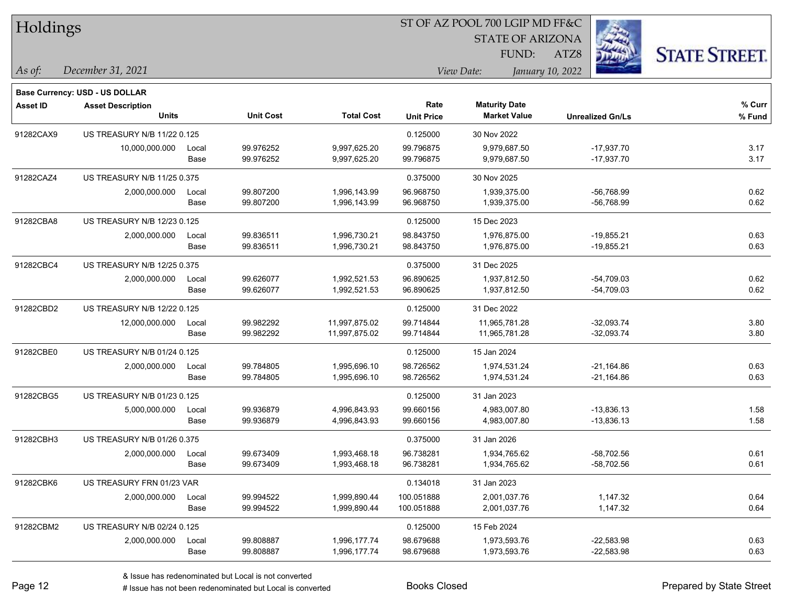| Holdings        |                                |       |                  |                   | 51 OF AZ POOL 700 LGIP MD FF&C |                         |                         |                      |  |  |
|-----------------|--------------------------------|-------|------------------|-------------------|--------------------------------|-------------------------|-------------------------|----------------------|--|--|
|                 |                                |       |                  |                   |                                | <b>STATE OF ARIZONA</b> | 23                      |                      |  |  |
|                 |                                |       |                  |                   |                                | <b>FUND:</b>            | ATZ8                    | <b>STATE STREET.</b> |  |  |
| As of:          | December 31, 2021              |       |                  |                   |                                | View Date:              | January 10, 2022        |                      |  |  |
|                 | Base Currency: USD - US DOLLAR |       |                  |                   |                                |                         |                         |                      |  |  |
| <b>Asset ID</b> | <b>Asset Description</b>       |       |                  |                   | Rate                           | <b>Maturity Date</b>    |                         | % Curr               |  |  |
|                 | <b>Units</b>                   |       | <b>Unit Cost</b> | <b>Total Cost</b> | <b>Unit Price</b>              | <b>Market Value</b>     | <b>Unrealized Gn/Ls</b> | % Fund               |  |  |
| 91282CAX9       | US TREASURY N/B 11/22 0.125    |       |                  |                   | 0.125000                       | 30 Nov 2022             |                         |                      |  |  |
|                 | 10,000,000.000                 | Local | 99.976252        | 9,997,625.20      | 99.796875                      | 9.979.687.50            | $-17,937.70$            | 3.17                 |  |  |
|                 |                                | Base  | 99.976252        | 9,997,625.20      | 99.796875                      | 9,979,687.50            | $-17,937.70$            | 3.17                 |  |  |
| 91282CAZ4       | US TREASURY N/B 11/25 0.375    |       |                  |                   | 0.375000                       | 30 Nov 2025             |                         |                      |  |  |
|                 | 2,000,000.000                  | Local | 99.807200        | 1,996,143.99      | 96.968750                      | 1,939,375.00            | $-56,768.99$            | 0.62                 |  |  |
|                 |                                | Base  | 99.807200        | 1,996,143.99      | 96.968750                      | 1,939,375.00            | $-56,768.99$            | 0.62                 |  |  |
| 91282CBA8       | US TREASURY N/B 12/23 0.125    |       |                  |                   | 0.125000                       | 15 Dec 2023             |                         |                      |  |  |
|                 | 2,000,000.000                  | Local | 99.836511        | 1,996,730.21      | 98.843750                      | 1,976,875.00            | $-19,855.21$            | 0.63                 |  |  |
|                 |                                | Base  | 99.836511        | 1,996,730.21      | 98.843750                      | 1,976,875.00            | $-19,855.21$            | 0.63                 |  |  |
| 91282CBC4       | US TREASURY N/B 12/25 0.375    |       |                  |                   | 0.375000                       | 31 Dec 2025             |                         |                      |  |  |
|                 | 2,000,000.000                  | Local | 99.626077        | 1,992,521.53      | 96.890625                      | 1,937,812.50            | $-54,709.03$            | 0.62                 |  |  |
|                 |                                | Base  | 99.626077        | 1,992,521.53      | 96.890625                      | 1,937,812.50            | $-54,709.03$            | 0.62                 |  |  |
| 91282CBD2       | US TREASURY N/B 12/22 0.125    |       |                  |                   | 0.125000                       | 31 Dec 2022             |                         |                      |  |  |
|                 | 12,000,000.000                 | Local | 99.982292        | 11,997,875.02     | 99.714844                      | 11,965,781.28           | $-32,093.74$            | 3.80                 |  |  |
|                 |                                | Base  | 99.982292        | 11,997,875.02     | 99.714844                      | 11,965,781.28           | $-32,093.74$            | 3.80                 |  |  |
| 91282CBE0       | US TREASURY N/B 01/24 0.125    |       |                  |                   | 0.125000                       | 15 Jan 2024             |                         |                      |  |  |
|                 | 2,000,000.000                  | Local | 99.784805        | 1,995,696.10      | 98.726562                      | 1,974,531.24            | $-21,164.86$            | 0.63                 |  |  |
|                 |                                | Base  | 99.784805        | 1,995,696.10      | 98.726562                      | 1,974,531.24            | -21,164.86              | 0.63                 |  |  |
| 91282CBG5       | US TREASURY N/B 01/23 0.125    |       |                  |                   | 0.125000                       | 31 Jan 2023             |                         |                      |  |  |
|                 | 5,000,000.000                  | Local | 99.936879        | 4,996,843.93      | 99.660156                      | 4,983,007.80            | $-13,836.13$            | 1.58                 |  |  |
|                 |                                | Base  | 99.936879        | 4,996,843.93      | 99.660156                      | 4,983,007.80            | $-13,836.13$            | 1.58                 |  |  |
| 91282CBH3       | US TREASURY N/B 01/26 0.375    |       |                  |                   | 0.375000                       | 31 Jan 2026             |                         |                      |  |  |
|                 | 2,000,000.000                  | Local | 99.673409        | 1,993,468.18      | 96.738281                      | 1,934,765.62            | $-58,702.56$            | 0.61                 |  |  |
|                 |                                | Base  | 99.673409        | 1,993,468.18      | 96.738281                      | 1,934,765.62            | $-58,702.56$            | 0.61                 |  |  |
| 91282CBK6       | US TREASURY FRN 01/23 VAR      |       |                  |                   | 0.134018                       | 31 Jan 2023             |                         |                      |  |  |
|                 | 2,000,000.000                  | Local | 99.994522        | 1,999,890.44      | 100.051888                     | 2,001,037.76            | 1,147.32                | 0.64                 |  |  |
|                 |                                | Base  | 99.994522        | 1,999,890.44      | 100.051888                     | 2,001,037.76            | 1,147.32                | 0.64                 |  |  |
| 91282CBM2       | US TREASURY N/B 02/24 0.125    |       |                  |                   | 0.125000                       | 15 Feb 2024             |                         |                      |  |  |
|                 | 2,000,000.000                  | Local | 99.808887        | 1,996,177.74      | 98.679688                      | 1,973,593.76            | $-22,583.98$            | 0.63                 |  |  |
|                 |                                | Base  | 99.808887        | 1,996,177.74      | 98.679688                      | 1,973,593.76            | $-22,583.98$            | 0.63                 |  |  |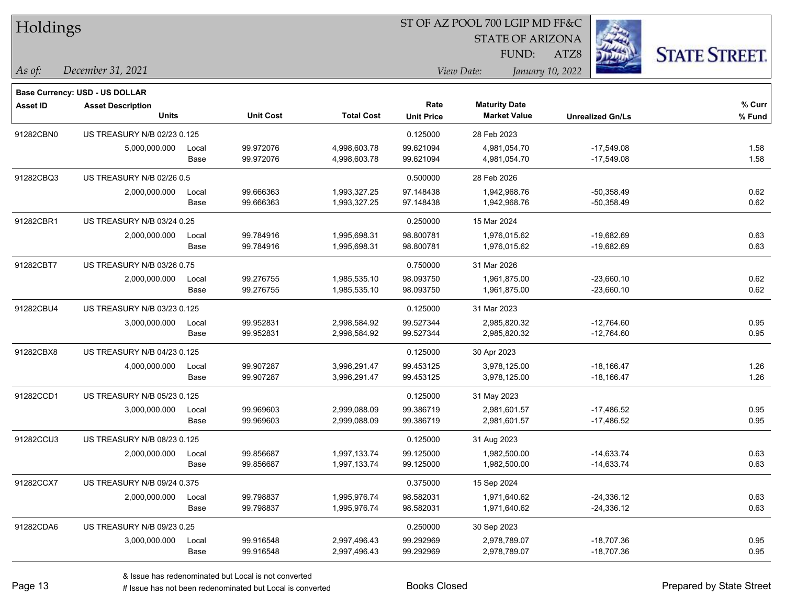| Holdings        |                                |       |                  |                   |                   | ST OF AZ POOL 700 LGIP MD FF&C |                         |                      |
|-----------------|--------------------------------|-------|------------------|-------------------|-------------------|--------------------------------|-------------------------|----------------------|
|                 |                                |       |                  |                   |                   | <b>STATE OF ARIZONA</b>        |                         |                      |
|                 |                                |       |                  |                   |                   | FUND:                          | ATZ8                    | <b>STATE STREET.</b> |
| As of:          | December 31, 2021              |       |                  |                   |                   | View Date:                     | January 10, 2022        |                      |
|                 | Base Currency: USD - US DOLLAR |       |                  |                   |                   |                                |                         |                      |
| <b>Asset ID</b> | <b>Asset Description</b>       |       |                  |                   | Rate              | <b>Maturity Date</b>           |                         | % Curr               |
|                 | <b>Units</b>                   |       | <b>Unit Cost</b> | <b>Total Cost</b> | <b>Unit Price</b> | <b>Market Value</b>            | <b>Unrealized Gn/Ls</b> | % Fund               |
| 91282CBN0       | US TREASURY N/B 02/23 0.125    |       |                  |                   | 0.125000          | 28 Feb 2023                    |                         |                      |
|                 | 5,000,000.000                  | Local | 99.972076        | 4,998,603.78      | 99.621094         | 4,981,054.70                   | $-17,549.08$            | 1.58                 |
|                 |                                | Base  | 99.972076        | 4,998,603.78      | 99.621094         | 4,981,054.70                   | $-17,549.08$            | 1.58                 |
| 91282CBQ3       | US TREASURY N/B 02/26 0.5      |       |                  |                   | 0.500000          | 28 Feb 2026                    |                         |                      |
|                 | 2,000,000.000                  | Local | 99.666363        | 1,993,327.25      | 97.148438         | 1,942,968.76                   | $-50,358.49$            | 0.62                 |
|                 |                                | Base  | 99.666363        | 1,993,327.25      | 97.148438         | 1,942,968.76                   | $-50,358.49$            | 0.62                 |
| 91282CBR1       | US TREASURY N/B 03/24 0.25     |       |                  |                   | 0.250000          | 15 Mar 2024                    |                         |                      |
|                 | 2,000,000.000                  | Local | 99.784916        | 1,995,698.31      | 98.800781         | 1,976,015.62                   | $-19,682.69$            | 0.63                 |
|                 |                                | Base  | 99.784916        | 1,995,698.31      | 98.800781         | 1,976,015.62                   | -19,682.69              | 0.63                 |
| 91282CBT7       | US TREASURY N/B 03/26 0.75     |       |                  |                   | 0.750000          | 31 Mar 2026                    |                         |                      |
|                 | 2,000,000.000                  | Local | 99.276755        | 1,985,535.10      | 98.093750         | 1,961,875.00                   | $-23,660.10$            | 0.62                 |
|                 |                                | Base  | 99.276755        | 1,985,535.10      | 98.093750         | 1,961,875.00                   | $-23,660.10$            | 0.62                 |
| 91282CBU4       | US TREASURY N/B 03/23 0.125    |       |                  |                   | 0.125000          | 31 Mar 2023                    |                         |                      |
|                 | 3,000,000.000                  | Local | 99.952831        | 2,998,584.92      | 99.527344         | 2,985,820.32                   | $-12,764.60$            | 0.95                 |
|                 |                                | Base  | 99.952831        | 2,998,584.92      | 99.527344         | 2,985,820.32                   | -12,764.60              | 0.95                 |
| 91282CBX8       | US TREASURY N/B 04/23 0.125    |       |                  |                   | 0.125000          | 30 Apr 2023                    |                         |                      |
|                 | 4,000,000.000                  | Local | 99.907287        | 3,996,291.47      | 99.453125         | 3,978,125.00                   | $-18,166.47$            | 1.26                 |
|                 |                                | Base  | 99.907287        | 3,996,291.47      | 99.453125         | 3,978,125.00                   | $-18,166.47$            | 1.26                 |
| 91282CCD1       | US TREASURY N/B 05/23 0.125    |       |                  |                   | 0.125000          | 31 May 2023                    |                         |                      |
|                 | 3,000,000.000                  | Local | 99.969603        | 2,999,088.09      | 99.386719         | 2,981,601.57                   | $-17,486.52$            | 0.95                 |
|                 |                                | Base  | 99.969603        | 2,999,088.09      | 99.386719         | 2,981,601.57                   | $-17,486.52$            | 0.95                 |
| 91282CCU3       | US TREASURY N/B 08/23 0.125    |       |                  |                   | 0.125000          | 31 Aug 2023                    |                         |                      |
|                 | 2,000,000.000                  | Local | 99.856687        | 1,997,133.74      | 99.125000         | 1,982,500.00                   | $-14,633.74$            | 0.63                 |
|                 |                                | Base  | 99.856687        | 1,997,133.74      | 99.125000         | 1,982,500.00                   | $-14,633.74$            | 0.63                 |
| 91282CCX7       | US TREASURY N/B 09/24 0.375    |       |                  |                   | 0.375000          | 15 Sep 2024                    |                         |                      |
|                 | 2,000,000.000                  | Local | 99.798837        | 1,995,976.74      | 98.582031         | 1,971,640.62                   | $-24,336.12$            | 0.63                 |
|                 |                                | Base  | 99.798837        | 1,995,976.74      | 98.582031         | 1,971,640.62                   | $-24,336.12$            | 0.63                 |
| 91282CDA6       | US TREASURY N/B 09/23 0.25     |       |                  |                   | 0.250000          | 30 Sep 2023                    |                         |                      |
|                 | 3,000,000.000                  | Local | 99.916548        | 2,997,496.43      | 99.292969         | 2,978,789.07                   | $-18,707.36$            | 0.95                 |
|                 |                                | Base  | 99.916548        | 2,997,496.43      | 99.292969         | 2,978,789.07                   | -18,707.36              | 0.95                 |

 $\overline{\phantom{0}}$ 

 $\overline{\phantom{a}}$ 

 $\overline{\phantom{0}}$ 

 $\overline{\phantom{0}}$ 

 $\overline{\phantom{0}}$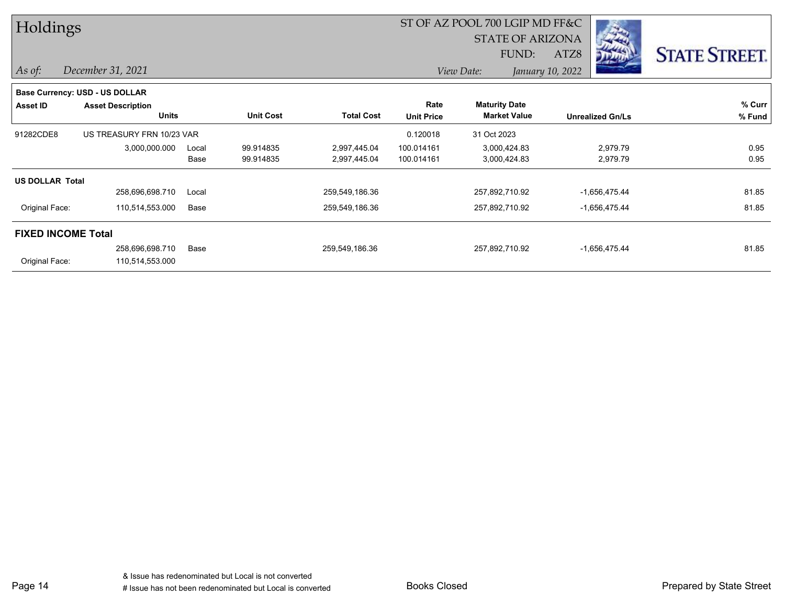| Holdings                  |                                       |       |                  |                   | ST OF AZ POOL 700 LGIP MD FF&C |                         |                         |                      |
|---------------------------|---------------------------------------|-------|------------------|-------------------|--------------------------------|-------------------------|-------------------------|----------------------|
|                           |                                       |       |                  |                   |                                | <b>STATE OF ARIZONA</b> |                         |                      |
|                           |                                       |       |                  |                   |                                | FUND:                   | ATZ8                    | <b>STATE STREET.</b> |
| $As$ of:                  | December 31, 2021                     |       |                  |                   |                                | View Date:              | January 10, 2022        |                      |
|                           | <b>Base Currency: USD - US DOLLAR</b> |       |                  |                   |                                |                         |                         |                      |
| Asset ID                  | <b>Asset Description</b>              |       |                  |                   | Rate                           | <b>Maturity Date</b>    |                         | % Curr               |
|                           | <b>Units</b>                          |       | <b>Unit Cost</b> | <b>Total Cost</b> | <b>Unit Price</b>              | <b>Market Value</b>     | <b>Unrealized Gn/Ls</b> | % Fund               |
| 91282CDE8                 | US TREASURY FRN 10/23 VAR             |       |                  |                   | 0.120018                       | 31 Oct 2023             |                         |                      |
|                           | 3,000,000.000                         | Local | 99.914835        | 2,997,445.04      | 100.014161                     | 3,000,424.83            | 2,979.79                | 0.95                 |
|                           |                                       | Base  | 99.914835        | 2,997,445.04      | 100.014161                     | 3,000,424.83            | 2,979.79                | 0.95                 |
| <b>US DOLLAR Total</b>    |                                       |       |                  |                   |                                |                         |                         |                      |
|                           | 258,696,698.710                       | Local |                  | 259,549,186.36    |                                | 257,892,710.92          | $-1,656,475.44$         | 81.85                |
| Original Face:            | 110,514,553.000                       | Base  |                  | 259,549,186.36    |                                | 257,892,710.92          | $-1,656,475.44$         | 81.85                |
| <b>FIXED INCOME Total</b> |                                       |       |                  |                   |                                |                         |                         |                      |
|                           | 258,696,698.710                       | Base  |                  | 259,549,186.36    |                                | 257,892,710.92          | $-1,656,475.44$         | 81.85                |
| Original Face:            | 110,514,553.000                       |       |                  |                   |                                |                         |                         |                      |

Page 14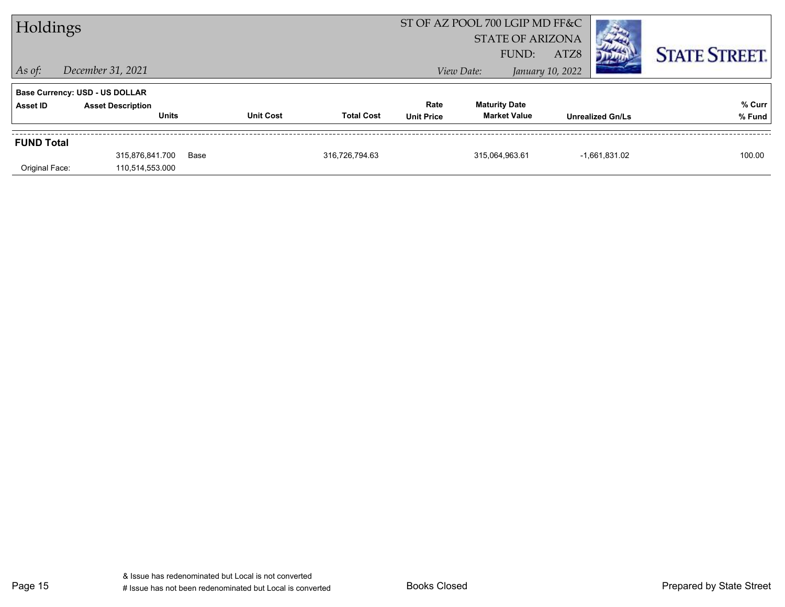| Holdings          |                                       |      |                                       | ST OF AZ POOL 700 LGIP MD FF&C |                         |                         |                      |
|-------------------|---------------------------------------|------|---------------------------------------|--------------------------------|-------------------------|-------------------------|----------------------|
|                   |                                       |      |                                       |                                | <b>STATE OF ARIZONA</b> |                         |                      |
|                   |                                       |      |                                       |                                | FUND:                   | ATZ8                    | <b>STATE STREET.</b> |
| $ $ As of:        | December 31, 2021                     |      |                                       |                                | View Date:              | January 10, 2022        |                      |
|                   | <b>Base Currency: USD - US DOLLAR</b> |      |                                       |                                |                         |                         |                      |
| Asset ID          | <b>Asset Description</b>              |      |                                       | Rate                           | <b>Maturity Date</b>    |                         | % Curr               |
|                   | <b>Units</b>                          |      | <b>Unit Cost</b><br><b>Total Cost</b> | <b>Unit Price</b>              | <b>Market Value</b>     | <b>Unrealized Gn/Ls</b> | % Fund               |
| <b>FUND Total</b> |                                       |      |                                       |                                |                         |                         |                      |
|                   | 315,876,841.700                       | Base | 316,726,794.63                        |                                | 315,064,963.61          | $-1,661,831.02$         | 100.00               |
| Original Face:    | 110,514,553.000                       |      |                                       |                                |                         |                         |                      |

Page 15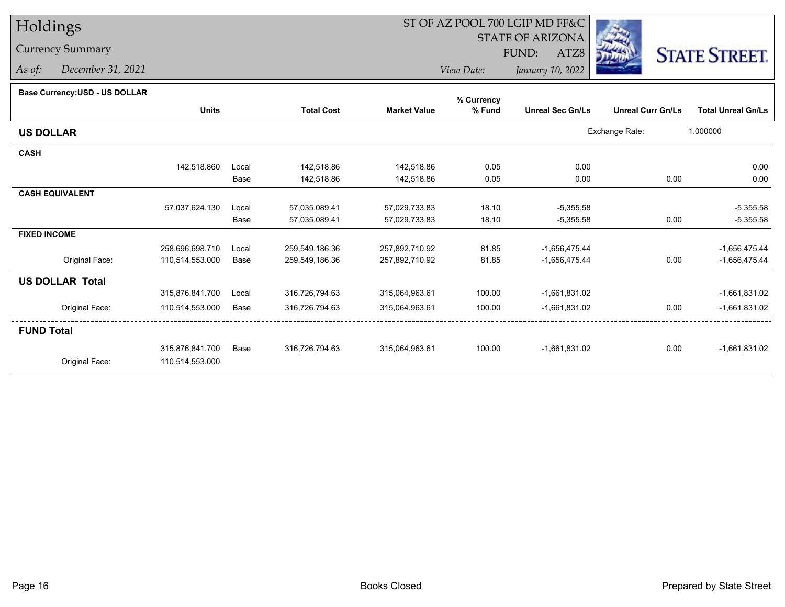## Currency Summary

*As of: December 31, 2021*

## ST OF AZ POOL 700 LGIP MD FF&C

STATE OF ARIZONA

ATZ8



*View Date:January 10, 2022*

| Dase Ourlelicy.OOD - OO DOLLAR |                 |       |                   |                     | % Currency |                         |                          |                           |
|--------------------------------|-----------------|-------|-------------------|---------------------|------------|-------------------------|--------------------------|---------------------------|
|                                | <b>Units</b>    |       | <b>Total Cost</b> | <b>Market Value</b> | % Fund     | <b>Unreal Sec Gn/Ls</b> | <b>Unreal Curr Gn/Ls</b> | <b>Total Unreal Gn/Ls</b> |
| <b>US DOLLAR</b>               |                 |       |                   |                     |            |                         | Exchange Rate:           | 1.000000                  |
| <b>CASH</b>                    |                 |       |                   |                     |            |                         |                          |                           |
|                                | 142,518.860     | Local | 142,518.86        | 142,518.86          | 0.05       | 0.00                    |                          | 0.00                      |
|                                |                 | Base  | 142,518.86        | 142,518.86          | 0.05       | 0.00                    | 0.00                     | 0.00                      |
| <b>CASH EQUIVALENT</b>         |                 |       |                   |                     |            |                         |                          |                           |
|                                | 57,037,624.130  | Local | 57,035,089.41     | 57,029,733.83       | 18.10      | $-5,355.58$             |                          | $-5,355.58$               |
|                                |                 | Base  | 57,035,089.41     | 57,029,733.83       | 18.10      | $-5,355.58$             | 0.00                     | $-5,355.58$               |
| <b>FIXED INCOME</b>            |                 |       |                   |                     |            |                         |                          |                           |
|                                | 258,696,698.710 | Local | 259,549,186.36    | 257,892,710.92      | 81.85      | $-1,656,475.44$         |                          | $-1,656,475.44$           |
| Original Face:                 | 110,514,553.000 | Base  | 259,549,186.36    | 257,892,710.92      | 81.85      | $-1,656,475.44$         | 0.00                     | $-1,656,475.44$           |
| <b>US DOLLAR Total</b>         |                 |       |                   |                     |            |                         |                          |                           |
|                                | 315,876,841.700 | Local | 316,726,794.63    | 315,064,963.61      | 100.00     | $-1,661,831.02$         |                          | $-1,661,831.02$           |
| Original Face:                 | 110,514,553.000 | Base  | 316,726,794.63    | 315,064,963.61      | 100.00     | $-1,661,831.02$         | 0.00                     | $-1,661,831.02$           |
| <b>FUND Total</b>              |                 |       |                   |                     |            |                         |                          |                           |
|                                | 315,876,841.700 | Base  | 316,726,794.63    | 315,064,963.61      | 100.00     | $-1,661,831.02$         | 0.00                     | $-1,661,831.02$           |
| Original Face:                 | 110,514,553.000 |       |                   |                     |            |                         |                          |                           |
|                                |                 |       |                   |                     |            |                         |                          |                           |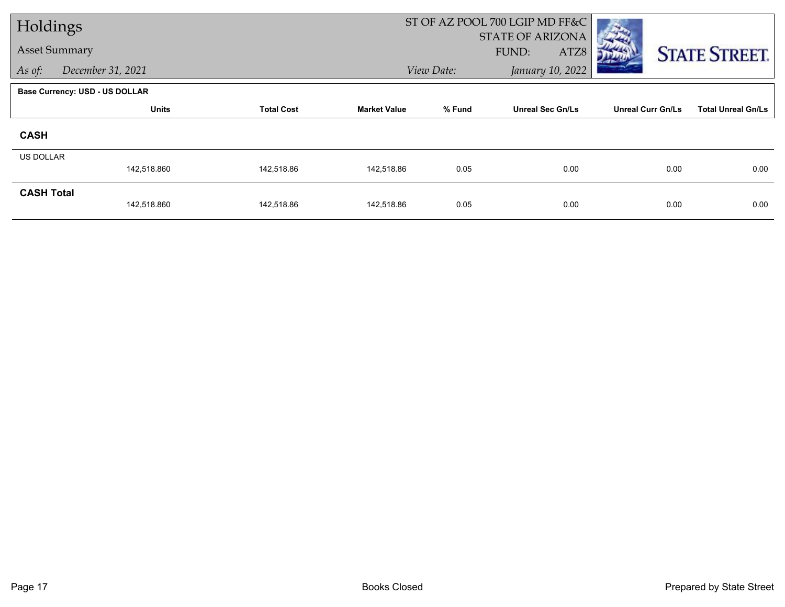| Holdings             |                                |                   |                     | ST OF AZ POOL 700 LGIP MD FF&C |                         |                          |                           |
|----------------------|--------------------------------|-------------------|---------------------|--------------------------------|-------------------------|--------------------------|---------------------------|
| <b>Asset Summary</b> |                                |                   |                     |                                | <b>STATE OF ARIZONA</b> |                          |                           |
|                      |                                |                   |                     |                                | FUND:<br>ATZ8           |                          | <b>STATE STREET.</b>      |
| As of:               | December 31, 2021              |                   |                     | View Date:                     | January 10, 2022        |                          |                           |
|                      | Base Currency: USD - US DOLLAR |                   |                     |                                |                         |                          |                           |
|                      | <b>Units</b>                   | <b>Total Cost</b> | <b>Market Value</b> | % Fund                         | <b>Unreal Sec Gn/Ls</b> | <b>Unreal Curr Gn/Ls</b> | <b>Total Unreal Gn/Ls</b> |
| <b>CASH</b>          |                                |                   |                     |                                |                         |                          |                           |
| <b>US DOLLAR</b>     |                                |                   |                     |                                |                         |                          |                           |
|                      | 142,518.860                    | 142,518.86        | 142,518.86          | 0.05                           | 0.00                    | 0.00                     | 0.00                      |
| <b>CASH Total</b>    |                                |                   |                     |                                |                         |                          |                           |
|                      | 142,518.860                    | 142,518.86        | 142,518.86          | 0.05                           | 0.00                    | 0.00                     | 0.00                      |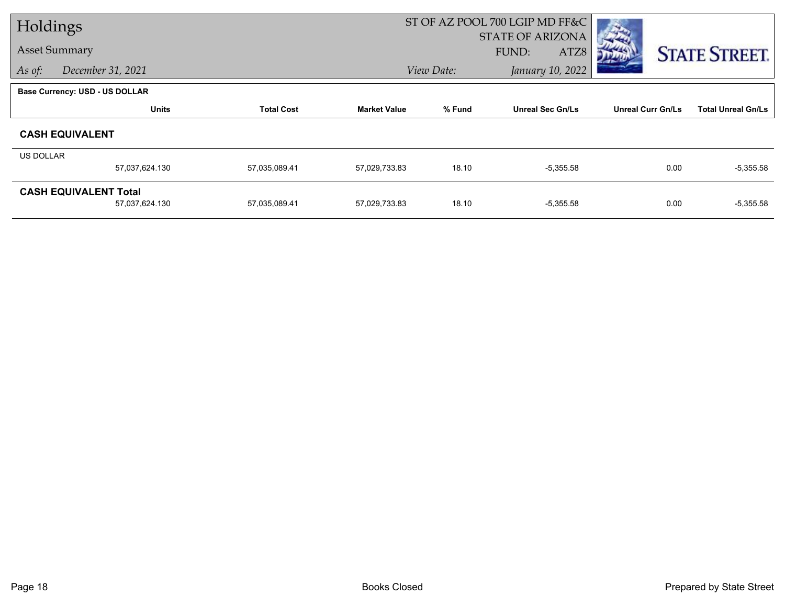| Holdings  |                                       |                   |                     |            | ST OF AZ POOL 700 LGIP MD FF&C |                          |                           |
|-----------|---------------------------------------|-------------------|---------------------|------------|--------------------------------|--------------------------|---------------------------|
|           |                                       |                   |                     |            | <b>STATE OF ARIZONA</b>        |                          |                           |
|           | <b>Asset Summary</b>                  |                   |                     |            | FUND:<br>ATZ8                  |                          | <b>STATE STREET.</b>      |
| As of:    | December 31, 2021                     |                   |                     | View Date: | January 10, 2022               |                          |                           |
|           | <b>Base Currency: USD - US DOLLAR</b> |                   |                     |            |                                |                          |                           |
|           | <b>Units</b>                          | <b>Total Cost</b> | <b>Market Value</b> | % Fund     | <b>Unreal Sec Gn/Ls</b>        | <b>Unreal Curr Gn/Ls</b> | <b>Total Unreal Gn/Ls</b> |
|           | <b>CASH EQUIVALENT</b>                |                   |                     |            |                                |                          |                           |
| US DOLLAR |                                       |                   |                     |            |                                |                          |                           |
|           | 57,037,624.130                        | 57,035,089.41     | 57,029,733.83       | 18.10      | $-5,355.58$                    | 0.00                     | $-5,355.58$               |
|           | <b>CASH EQUIVALENT Total</b>          |                   |                     |            |                                |                          |                           |
|           | 57,037,624.130                        | 57,035,089.41     | 57,029,733.83       | 18.10      | $-5,355.58$                    | 0.00                     | $-5,355.58$               |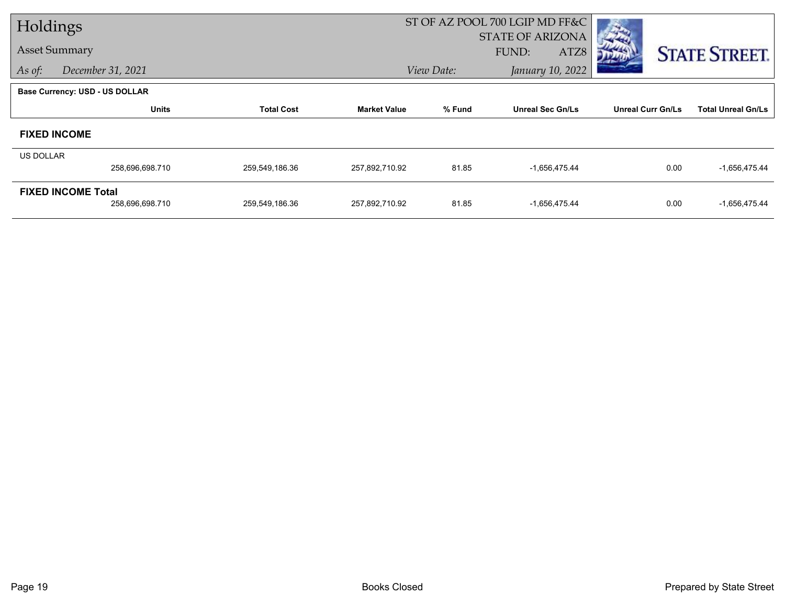| Holdings         |                                       |                   |                     | ST OF AZ POOL 700 LGIP MD FF&C |                         |                          |                           |
|------------------|---------------------------------------|-------------------|---------------------|--------------------------------|-------------------------|--------------------------|---------------------------|
|                  |                                       |                   |                     |                                | <b>STATE OF ARIZONA</b> |                          |                           |
|                  | <b>Asset Summary</b>                  |                   |                     |                                | FUND:<br>ATZ8           |                          | <b>STATE STREET.</b>      |
| As of:           | December 31, 2021                     |                   |                     | View Date:                     | January 10, 2022        |                          |                           |
|                  | <b>Base Currency: USD - US DOLLAR</b> |                   |                     |                                |                         |                          |                           |
|                  | <b>Units</b>                          | <b>Total Cost</b> | <b>Market Value</b> | % Fund                         | <b>Unreal Sec Gn/Ls</b> | <b>Unreal Curr Gn/Ls</b> | <b>Total Unreal Gn/Ls</b> |
|                  | <b>FIXED INCOME</b>                   |                   |                     |                                |                         |                          |                           |
| <b>US DOLLAR</b> |                                       |                   |                     |                                |                         |                          |                           |
|                  | 258,696,698.710                       | 259,549,186.36    | 257,892,710.92      | 81.85                          | $-1,656,475.44$         | 0.00                     | $-1,656,475.44$           |
|                  | <b>FIXED INCOME Total</b>             |                   |                     |                                |                         |                          |                           |
|                  | 258,696,698.710                       | 259,549,186.36    | 257,892,710.92      | 81.85                          | $-1,656,475.44$         | 0.00                     | $-1,656,475.44$           |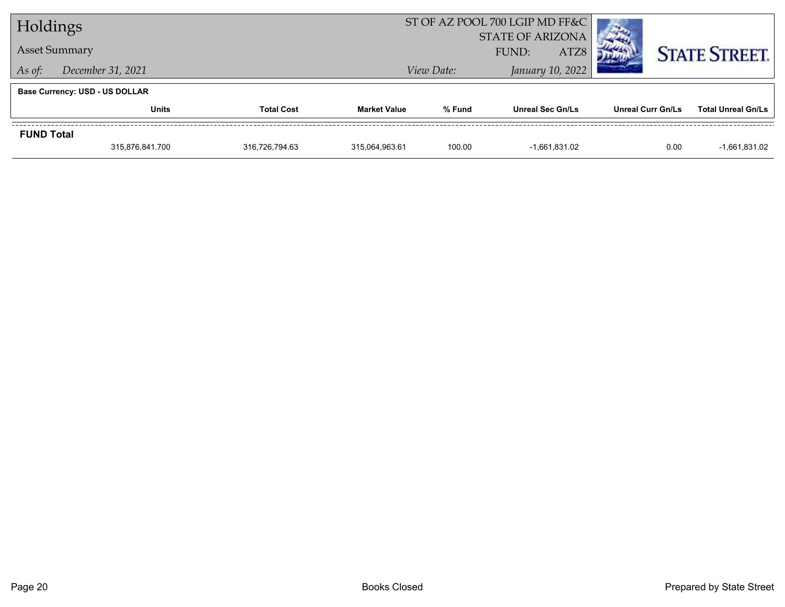| Holdings                              |                      |                   | ST OF AZ POOL 700 LGIP MD FF&C |                         |                         |                   |                           |  |
|---------------------------------------|----------------------|-------------------|--------------------------------|-------------------------|-------------------------|-------------------|---------------------------|--|
|                                       |                      |                   |                                | <b>STATE OF ARIZONA</b> |                         |                   |                           |  |
|                                       | <b>Asset Summary</b> |                   |                                |                         | ATZ8<br>FUND:           |                   | <b>STATE STREET.</b>      |  |
| As of:                                | December 31, 2021    |                   |                                | View Date:              |                         |                   |                           |  |
| <b>Base Currency: USD - US DOLLAR</b> |                      |                   |                                |                         |                         |                   |                           |  |
|                                       | <b>Units</b>         | <b>Total Cost</b> | <b>Market Value</b>            | % Fund                  | <b>Unreal Sec Gn/Ls</b> | Unreal Curr Gn/Ls | <b>Total Unreal Gn/Ls</b> |  |
| <b>FUND Total</b>                     |                      |                   |                                |                         |                         |                   |                           |  |
|                                       | 315,876,841.700      | 316,726,794.63    | 315,064,963.61                 | 100.00                  | $-1,661,831.02$         | 0.00              | $-1,661,831.02$           |  |